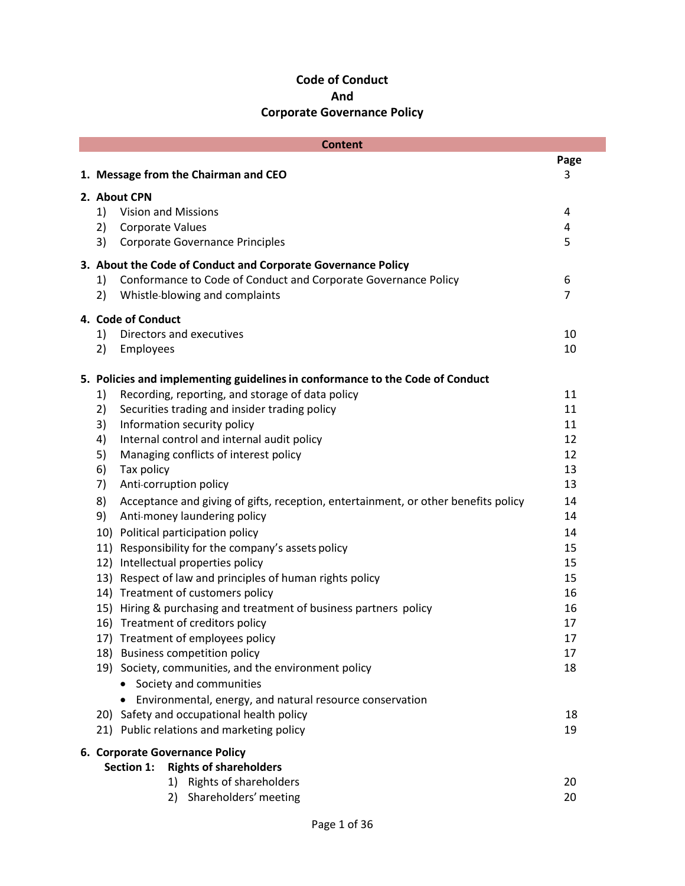# **Code of Conduct And Corporate Governance Policy**

| <b>Content</b>                              |                                      |                                                                                                                                |                |  |  |  |  |
|---------------------------------------------|--------------------------------------|--------------------------------------------------------------------------------------------------------------------------------|----------------|--|--|--|--|
|                                             |                                      |                                                                                                                                | Page           |  |  |  |  |
|                                             | 1. Message from the Chairman and CEO |                                                                                                                                |                |  |  |  |  |
|                                             |                                      | 2. About CPN                                                                                                                   |                |  |  |  |  |
|                                             | 1)                                   | <b>Vision and Missions</b>                                                                                                     | 4              |  |  |  |  |
|                                             | 2)                                   | <b>Corporate Values</b>                                                                                                        | 4              |  |  |  |  |
|                                             | 3)                                   | <b>Corporate Governance Principles</b>                                                                                         | 5              |  |  |  |  |
|                                             |                                      |                                                                                                                                |                |  |  |  |  |
|                                             | 1)                                   | 3. About the Code of Conduct and Corporate Governance Policy<br>Conformance to Code of Conduct and Corporate Governance Policy | 6              |  |  |  |  |
|                                             | 2)                                   | Whistle-blowing and complaints                                                                                                 | $\overline{7}$ |  |  |  |  |
|                                             |                                      |                                                                                                                                |                |  |  |  |  |
|                                             |                                      | 4. Code of Conduct                                                                                                             |                |  |  |  |  |
|                                             | 1)                                   | Directors and executives                                                                                                       | 10             |  |  |  |  |
|                                             | 2)                                   | Employees                                                                                                                      | 10             |  |  |  |  |
|                                             |                                      |                                                                                                                                |                |  |  |  |  |
|                                             |                                      | 5. Policies and implementing guidelines in conformance to the Code of Conduct                                                  |                |  |  |  |  |
|                                             | 1)                                   | Recording, reporting, and storage of data policy                                                                               | 11             |  |  |  |  |
|                                             | 2)                                   | Securities trading and insider trading policy                                                                                  | 11             |  |  |  |  |
|                                             | 3)                                   | Information security policy                                                                                                    | 11             |  |  |  |  |
|                                             | 4)                                   | Internal control and internal audit policy                                                                                     | 12             |  |  |  |  |
|                                             | 5)                                   | Managing conflicts of interest policy                                                                                          | 12<br>13       |  |  |  |  |
|                                             | 6)<br>7)                             | Tax policy<br>Anti-corruption policy                                                                                           | 13             |  |  |  |  |
|                                             |                                      |                                                                                                                                |                |  |  |  |  |
|                                             | 8)<br>9)                             | Acceptance and giving of gifts, reception, entertainment, or other benefits policy<br>Anti-money laundering policy             | 14<br>14       |  |  |  |  |
|                                             |                                      |                                                                                                                                |                |  |  |  |  |
|                                             |                                      | 10) Political participation policy<br>Responsibility for the company's assets policy                                           | 14<br>15       |  |  |  |  |
|                                             | 11)                                  | 12) Intellectual properties policy                                                                                             | 15             |  |  |  |  |
|                                             |                                      | 13) Respect of law and principles of human rights policy                                                                       | 15             |  |  |  |  |
|                                             |                                      | 14) Treatment of customers policy                                                                                              | 16             |  |  |  |  |
|                                             |                                      | 15) Hiring & purchasing and treatment of business partners policy                                                              | 16             |  |  |  |  |
|                                             |                                      | 16) Treatment of creditors policy                                                                                              | 17             |  |  |  |  |
|                                             |                                      | 17) Treatment of employees policy                                                                                              | 17             |  |  |  |  |
|                                             |                                      | 18) Business competition policy                                                                                                | 17             |  |  |  |  |
|                                             |                                      | 19) Society, communities, and the environment policy                                                                           | 18             |  |  |  |  |
|                                             |                                      | • Society and communities                                                                                                      |                |  |  |  |  |
|                                             |                                      | Environmental, energy, and natural resource conservation                                                                       |                |  |  |  |  |
|                                             |                                      | 20) Safety and occupational health policy                                                                                      | 18             |  |  |  |  |
|                                             |                                      | 21) Public relations and marketing policy                                                                                      | 19             |  |  |  |  |
|                                             |                                      | 6. Corporate Governance Policy                                                                                                 |                |  |  |  |  |
| Section 1:<br><b>Rights of shareholders</b> |                                      |                                                                                                                                |                |  |  |  |  |
|                                             |                                      | 1) Rights of shareholders                                                                                                      | 20             |  |  |  |  |
|                                             |                                      | 2) Shareholders' meeting                                                                                                       | 20             |  |  |  |  |
|                                             |                                      |                                                                                                                                |                |  |  |  |  |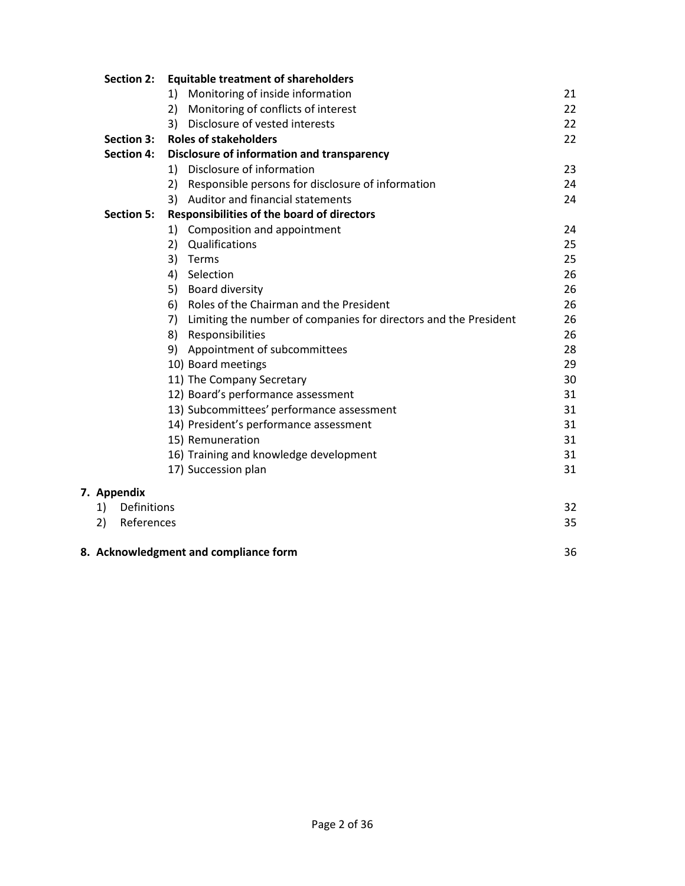|    | <b>Section 2:</b> | <b>Equitable treatment of shareholders</b>        |                                                                  |    |  |  |
|----|-------------------|---------------------------------------------------|------------------------------------------------------------------|----|--|--|
|    |                   | 1)                                                | Monitoring of inside information                                 | 21 |  |  |
|    |                   | 2)                                                | Monitoring of conflicts of interest                              | 22 |  |  |
|    |                   | 3)                                                | Disclosure of vested interests                                   | 22 |  |  |
|    | <b>Section 3:</b> |                                                   | <b>Roles of stakeholders</b>                                     | 22 |  |  |
|    | <b>Section 4:</b> | <b>Disclosure of information and transparency</b> |                                                                  |    |  |  |
|    |                   | 1)                                                | Disclosure of information                                        | 23 |  |  |
|    |                   | 2)                                                | Responsible persons for disclosure of information                | 24 |  |  |
|    |                   | 3)                                                | Auditor and financial statements                                 | 24 |  |  |
|    | <b>Section 5:</b> | <b>Responsibilities of the board of directors</b> |                                                                  |    |  |  |
|    |                   | 1)                                                | Composition and appointment                                      | 24 |  |  |
|    |                   | 2)                                                | Qualifications                                                   | 25 |  |  |
|    |                   | 3)                                                | Terms                                                            | 25 |  |  |
|    |                   | 4)                                                | Selection                                                        | 26 |  |  |
|    |                   | 5)                                                | <b>Board diversity</b>                                           | 26 |  |  |
|    |                   | 6)                                                | Roles of the Chairman and the President                          | 26 |  |  |
|    |                   | 7)                                                | Limiting the number of companies for directors and the President | 26 |  |  |
|    |                   | 8)                                                | Responsibilities                                                 | 26 |  |  |
|    |                   | 9)                                                | Appointment of subcommittees                                     | 28 |  |  |
|    |                   |                                                   | 10) Board meetings                                               | 29 |  |  |
|    |                   |                                                   | 11) The Company Secretary                                        | 30 |  |  |
|    |                   |                                                   | 12) Board's performance assessment                               | 31 |  |  |
|    |                   |                                                   | 13) Subcommittees' performance assessment                        | 31 |  |  |
|    |                   |                                                   | 14) President's performance assessment                           | 31 |  |  |
|    |                   |                                                   | 15) Remuneration                                                 | 31 |  |  |
|    |                   |                                                   | 16) Training and knowledge development                           | 31 |  |  |
|    |                   |                                                   | 17) Succession plan                                              | 31 |  |  |
|    | <b>Appendix</b>   |                                                   |                                                                  |    |  |  |
| 1) | Definitions       |                                                   |                                                                  | 32 |  |  |
| 2) | References        |                                                   |                                                                  | 35 |  |  |
|    |                   |                                                   |                                                                  |    |  |  |
|    |                   |                                                   |                                                                  |    |  |  |

**8. Acknowledgment and compliance form** 36

**7. Appendix**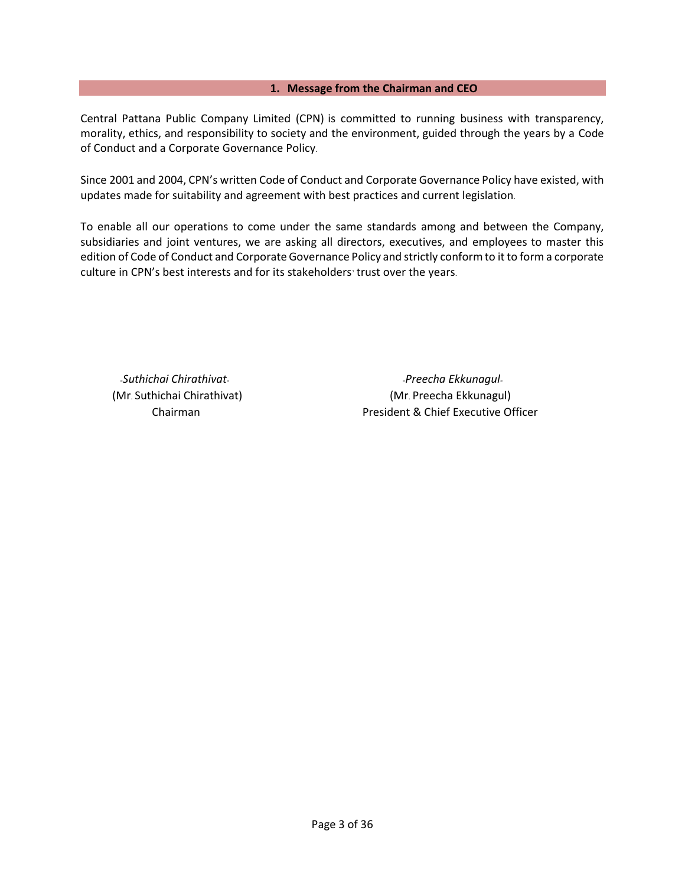#### **1. Message from the Chairman and CEO**

Central Pattana Public Company Limited (CPN) is committed to running business with transparency, morality, ethics, and responsibility to society and the environment, guided through the years by a Code of Conduct and a Corporate Governance Policy.

Since 2001 and 2004, CPN's written Code of Conduct and Corporate Governance Policy have existed, with updates made for suitability and agreement with best practices and current legislation.

To enable all our operations to come under the same standards among and between the Company, subsidiaries and joint ventures, we are asking all directors, executives, and employees to master this edition of Code of Conduct and Corporate Governance Policy and strictly conform to it to form a corporate culture in CPN's best interests and for its stakeholders'trust over the years.

*-Suthichai Chirathivat- -Preecha Ekkunagul-* (Mr. Suthichai Chirathivat) (Mr. Preecha Ekkunagul) Chairman **President & Chief Executive Officer**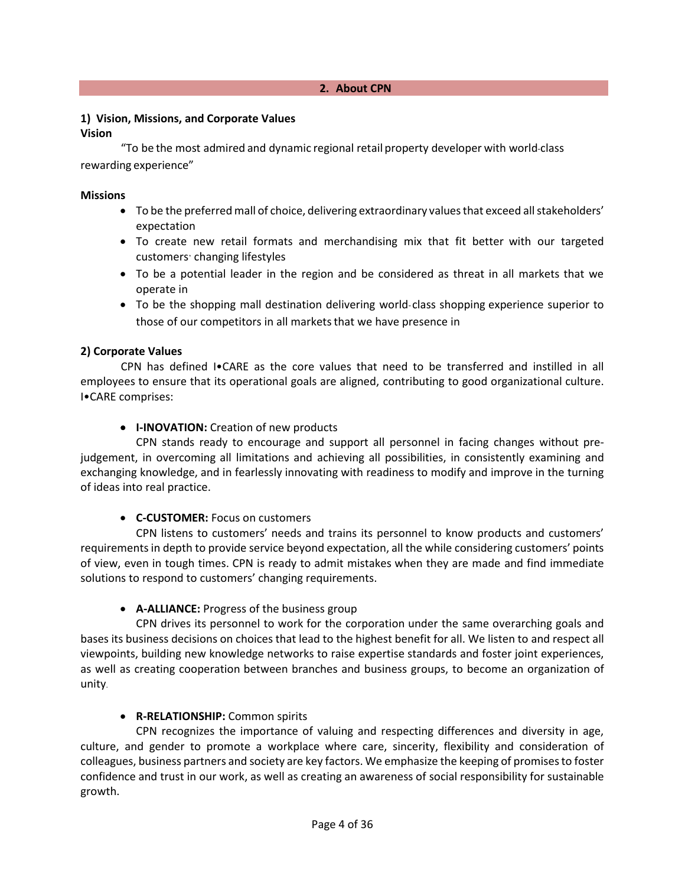# **1) Vision, Missions, and Corporate Values**

#### **Vision**

"To be the most admired and dynamic regional retail property developer with world-class rewarding experience"

#### **Missions**

- To be the preferred mall of choice, delivering extraordinary values that exceed all stakeholders' expectation
- To create new retail formats and merchandising mix that fit better with our targeted customers' changing lifestyles
- To be a potential leader in the region and be considered as threat in all markets that we operate in
- To be the shopping mall destination delivering world-class shopping experience superior to those of our competitors in all markets that we have presence in

### **2) Corporate Values**

CPN has defined I•CARE as the core values that need to be transferred and instilled in all employees to ensure that its operational goals are aligned, contributing to good organizational culture. I•CARE comprises:

### **• I-INOVATION:** Creation of new products

CPN stands ready to encourage and support all personnel in facing changes without prejudgement, in overcoming all limitations and achieving all possibilities, in consistently examining and exchanging knowledge, and in fearlessly innovating with readiness to modify and improve in the turning of ideas into real practice.

### • **C-CUSTOMER:** Focus on customers

CPN listens to customers' needs and trains its personnel to know products and customers' requirements in depth to provide service beyond expectation, all the while considering customers' points of view, even in tough times. CPN is ready to admit mistakes when they are made and find immediate solutions to respond to customers' changing requirements.

### • **A-ALLIANCE:** Progress of the business group

CPN drives its personnel to work for the corporation under the same overarching goals and bases its business decisions on choices that lead to the highest benefit for all. We listen to and respect all viewpoints, building new knowledge networks to raise expertise standards and foster joint experiences, as well as creating cooperation between branches and business groups, to become an organization of unity.

### • **R-RELATIONSHIP:** Common spirits

CPN recognizes the importance of valuing and respecting differences and diversity in age, culture, and gender to promote a workplace where care, sincerity, flexibility and consideration of colleagues, business partners and society are key factors. We emphasize the keeping of promises to foster confidence and trust in our work, as well as creating an awareness of social responsibility for sustainable growth.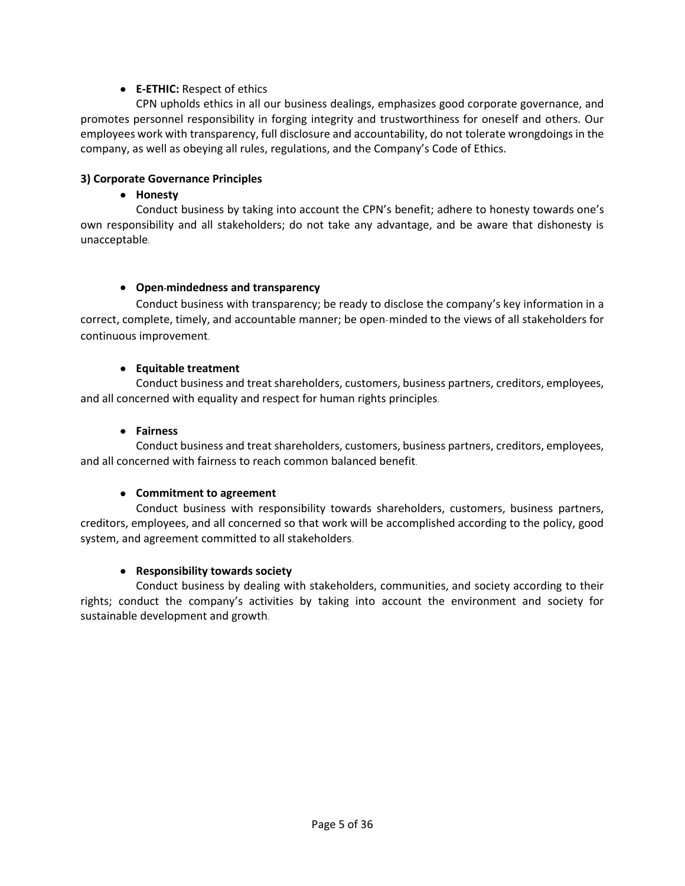## • **E-ETHIC:** Respect of ethics

CPN upholds ethics in all our business dealings, emphasizes good corporate governance, and promotes personnel responsibility in forging integrity and trustworthiness for oneself and others. Our employees work with transparency, full disclosure and accountability, do not tolerate wrongdoings in the company, as well as obeying all rules, regulations, and the Company's Code of Ethics.

#### **3) Corporate Governance Principles**

#### • **Honesty**

Conduct business by taking into account the CPN's benefit; adhere to honesty towards one's own responsibility and all stakeholders; do not take any advantage, and be aware that dishonesty is unacceptable.

#### • **Open-mindedness and transparency**

Conduct business with transparency; be ready to disclose the company's key information in a correct, complete, timely, and accountable manner; be open-minded to the views of all stakeholders for continuous improvement.

#### • **Equitable treatment**

Conduct business and treat shareholders, customers, business partners, creditors, employees, and all concerned with equality and respect for human rights principles.

#### • **Fairness**

Conduct business and treat shareholders, customers, business partners, creditors, employees, and all concerned with fairness to reach common balanced benefit.

#### • **Commitment to agreement**

Conduct business with responsibility towards shareholders, customers, business partners, creditors, employees, and all concerned so that work will be accomplished according to the policy, good system, and agreement committed to all stakeholders.

#### • **Responsibility towards society**

Conduct business by dealing with stakeholders, communities, and society according to their rights; conduct the company's activities by taking into account the environment and society for sustainable development and growth.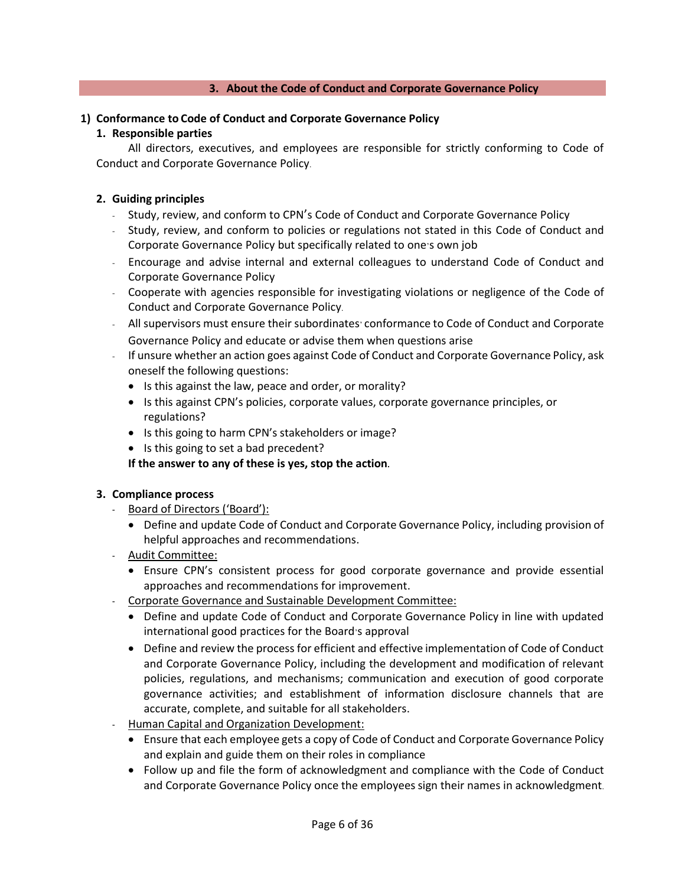#### **3. About the Code of Conduct and Corporate Governance Policy**

#### **1) Conformance to Code of Conduct and Corporate Governance Policy**

#### **1. Responsible parties**

All directors, executives, and employees are responsible for strictly conforming to Code of Conduct and Corporate Governance Policy.

#### **2. Guiding principles**

- Study, review, and conform to CPN's Code of Conduct and Corporate Governance Policy
- Study, review, and conform to policies or regulations not stated in this Code of Conduct and Corporate Governance Policy but specifically related to one's own job
- Encourage and advise internal and external colleagues to understand Code of Conduct and Corporate Governance Policy
- Cooperate with agencies responsible for investigating violations or negligence of the Code of Conduct and Corporate Governance Policy.
- All supervisors must ensure their subordinates' conformance to Code of Conduct and Corporate Governance Policy and educate or advise them when questions arise
- If unsure whether an action goes against Code of Conduct and Corporate Governance Policy, ask oneself the following questions:
	- Is this against the law, peace and order, or morality?
	- Is this against CPN's policies, corporate values, corporate governance principles, or regulations?
	- Is this going to harm CPN's stakeholders or image?
	- Is this going to set a bad precedent?

**If the answer to any of these is yes, stop the action.**

#### **3. Compliance process**

- **-** Board of Directors ('Board'):
	- Define and update Code of Conduct and Corporate Governance Policy, including provision of helpful approaches and recommendations.
- **-** Audit Committee:
	- Ensure CPN's consistent process for good corporate governance and provide essential approaches and recommendations for improvement.
- **-** Corporate Governance and Sustainable Development Committee:
	- Define and update Code of Conduct and Corporate Governance Policy in line with updated international good practices for the Board's approval
	- Define and review the process for efficient and effective implementation of Code of Conduct and Corporate Governance Policy, including the development and modification of relevant policies, regulations, and mechanisms; communication and execution of good corporate governance activities; and establishment of information disclosure channels that are accurate, complete, and suitable for all stakeholders.
- **-** Human Capital and Organization Development:
	- Ensure that each employee gets a copy of Code of Conduct and Corporate Governance Policy and explain and guide them on their roles in compliance
	- Follow up and file the form of acknowledgment and compliance with the Code of Conduct and Corporate Governance Policy once the employees sign their names in acknowledgment.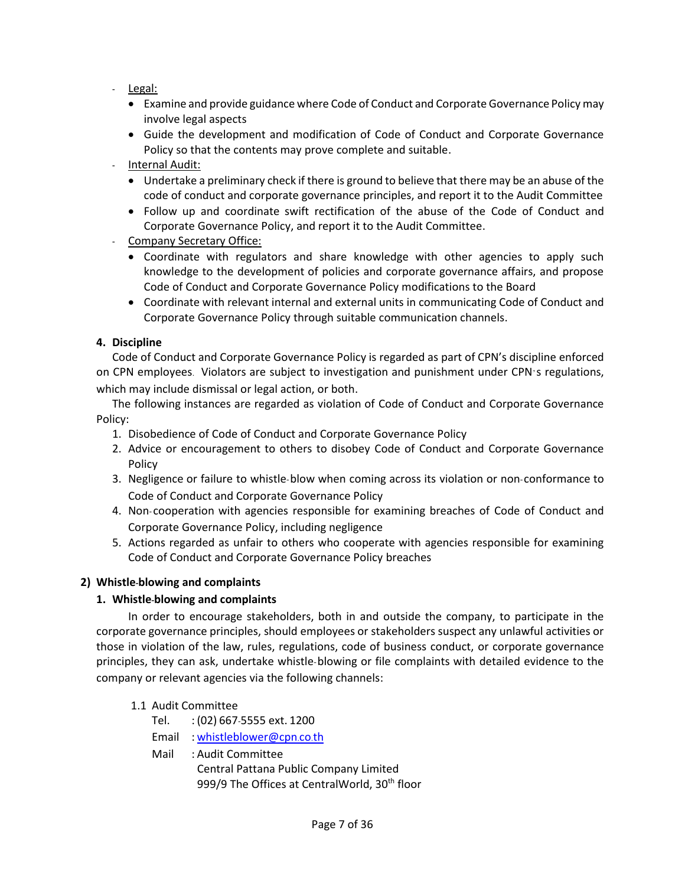- **-** Legal:
	- Examine and provide guidance where Code of Conduct and Corporate Governance Policy may involve legal aspects
	- Guide the development and modification of Code of Conduct and Corporate Governance Policy so that the contents may prove complete and suitable.

### **-** Internal Audit:

- Undertake a preliminary check if there is ground to believe that there may be an abuse of the code of conduct and corporate governance principles, and report it to the Audit Committee
- Follow up and coordinate swift rectification of the abuse of the Code of Conduct and Corporate Governance Policy, and report it to the Audit Committee.

### **-** Company Secretary Office:

- Coordinate with regulators and share knowledge with other agencies to apply such knowledge to the development of policies and corporate governance affairs, and propose Code of Conduct and Corporate Governance Policy modifications to the Board
- Coordinate with relevant internal and external units in communicating Code of Conduct and Corporate Governance Policy through suitable communication channels.

### **4. Discipline**

Code of Conduct and Corporate Governance Policy is regarded as part of CPN's discipline enforced on CPN employees. Violators are subject to investigation and punishment under CPN's regulations, which may include dismissal or legal action, or both.

The following instances are regarded as violation of Code of Conduct and Corporate Governance Policy:

- 1. Disobedience of Code of Conduct and Corporate Governance Policy
- 2. Advice or encouragement to others to disobey Code of Conduct and Corporate Governance Policy
- 3. Negligence or failure to whistle-blow when coming across its violation or non-conformance to Code of Conduct and Corporate Governance Policy
- 4. Non- cooperation with agencies responsible for examining breaches of Code of Conduct and Corporate Governance Policy, including negligence
- 5. Actions regarded as unfair to others who cooperate with agencies responsible for examining Code of Conduct and Corporate Governance Policy breaches

### **2) Whistle-blowing and complaints**

### **1. Whistle-blowing and complaints**

In order to encourage stakeholders, both in and outside the company, to participate in the corporate governance principles, should employees or stakeholders suspect any unlawful activities or those in violation of the law, rules, regulations, code of business conduct, or corporate governance principles, they can ask, undertake whistle-blowing or file complaints with detailed evidence to the company or relevant agencies via the following channels:

### 1.1 Audit Committee

- Tel. : (02) 667-5555 ext. 1200
- Email : [whistleblower@cpn](mailto:whistleblower@cpn.co.th).co.th
- Mail : Audit Committee Central Pattana Public Company Limited 999/9 The Offices at CentralWorld, 30<sup>th</sup> floor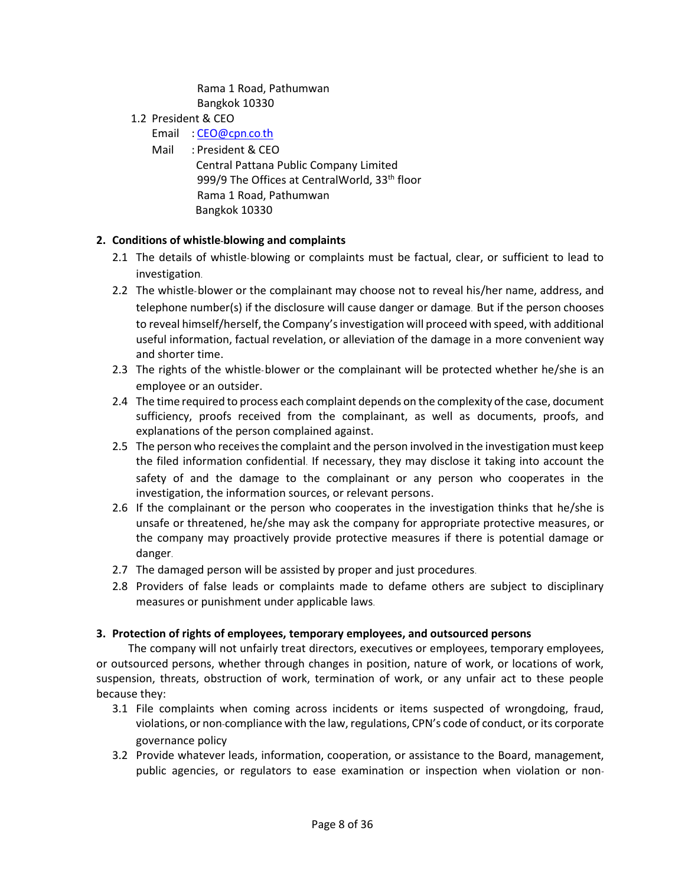Rama 1 Road, Pathumwan Bangkok 10330

- 1.2 President & CEO
	- Email : [CEO@cpn](mailto:CEO@cpn.co.th).co.th
	- Mail : President & CEO

 Central Pattana Public Company Limited 999/9 The Offices at CentralWorld, 33<sup>th</sup> floor Rama 1 Road, Pathumwan Bangkok 10330

### **2. Conditions of whistle-blowing and complaints**

- 2.1 The details of whistle-blowing or complaints must be factual, clear, or sufficient to lead to investigation.
- 2.2 The whistle-blower or the complainant may choose not to reveal his/her name, address, and telephone number(s) if the disclosure will cause danger or damage. But if the person chooses to reveal himself/herself, the Company'sinvestigation will proceed with speed, with additional useful information, factual revelation, or alleviation of the damage in a more convenient way and shorter time.
- 2.3 The rights of the whistle-blower or the complainant will be protected whether he/she is an employee or an outsider.
- 2.4 The time required to process each complaint depends on the complexity of the case, document sufficiency, proofs received from the complainant, as well as documents, proofs, and explanations of the person complained against.
- 2.5 The person who receives the complaint and the person involved in the investigation must keep the filed information confidential. If necessary, they may disclose it taking into account the safety of and the damage to the complainant or any person who cooperates in the investigation, the information sources, or relevant persons.
- 2.6 If the complainant or the person who cooperates in the investigation thinks that he/she is unsafe or threatened, he/she may ask the company for appropriate protective measures, or the company may proactively provide protective measures if there is potential damage or danger.
- 2.7 The damaged person will be assisted by proper and just procedures.
- 2.8 Providers of false leads or complaints made to defame others are subject to disciplinary measures or punishment under applicable laws.

### **3. Protection of rights of employees, temporary employees, and outsourced persons**

The company will not unfairly treat directors, executives or employees, temporary employees, or outsourced persons, whether through changes in position, nature of work, or locations of work, suspension, threats, obstruction of work, termination of work, or any unfair act to these people because they:

- 3.1 File complaints when coming across incidents or items suspected of wrongdoing, fraud, violations, or non-compliance with the law, regulations, CPN's code of conduct, or its corporate governance policy
- 3.2 Provide whatever leads, information, cooperation, or assistance to the Board, management, public agencies, or regulators to ease examination or inspection when violation or non-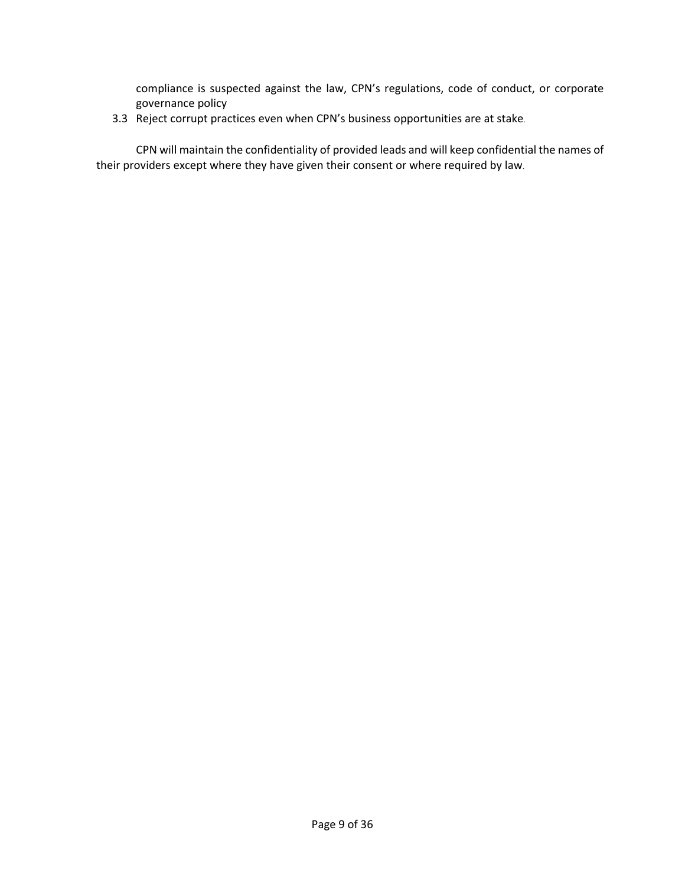compliance is suspected against the law, CPN's regulations, code of conduct, or corporate governance policy

3.3 Reject corrupt practices even when CPN's business opportunities are at stake.

CPN will maintain the confidentiality of provided leads and will keep confidential the names of their providers except where they have given their consent or where required by law.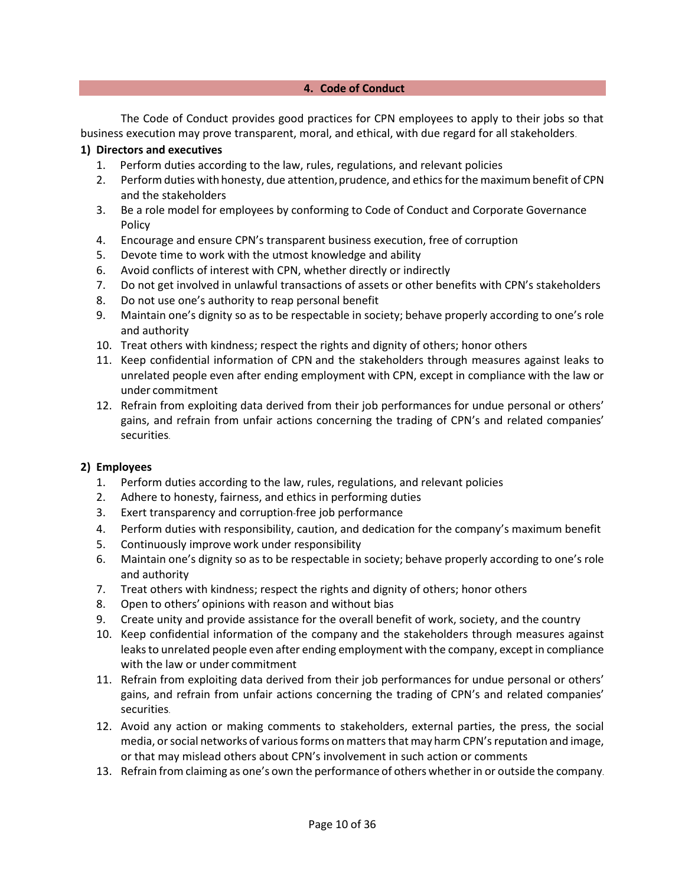#### **4. Code of Conduct**

The Code of Conduct provides good practices for CPN employees to apply to their jobs so that business execution may prove transparent, moral, and ethical, with due regard for all stakeholders.

#### **1) Directors and executives**

- 1. Perform duties according to the law, rules, regulations, and relevant policies
- 2. Perform duties with honesty, due attention, prudence, and ethics for the maximum benefit of CPN and the stakeholders
- 3. Be a role model for employees by conforming to Code of Conduct and Corporate Governance Policy
- 4. Encourage and ensure CPN's transparent business execution, free of corruption
- 5. Devote time to work with the utmost knowledge and ability
- 6. Avoid conflicts of interest with CPN, whether directly or indirectly
- 7. Do not get involved in unlawful transactions of assets or other benefits with CPN's stakeholders
- 8. Do not use one's authority to reap personal benefit
- 9. Maintain one's dignity so as to be respectable in society; behave properly according to one's role and authority
- 10. Treat others with kindness; respect the rights and dignity of others; honor others
- 11. Keep confidential information of CPN and the stakeholders through measures against leaks to unrelated people even after ending employment with CPN, except in compliance with the law or under commitment
- 12. Refrain from exploiting data derived from their job performances for undue personal or others' gains, and refrain from unfair actions concerning the trading of CPN's and related companies' securities.

#### **2) Employees**

- 1. Perform duties according to the law, rules, regulations, and relevant policies
- 2. Adhere to honesty, fairness, and ethics in performing duties
- 3. Exert transparency and corruption-free job performance
- 4. Perform duties with responsibility, caution, and dedication for the company's maximum benefit
- 5. Continuously improve work under responsibility
- 6. Maintain one's dignity so as to be respectable in society; behave properly according to one's role and authority
- 7. Treat others with kindness; respect the rights and dignity of others; honor others
- 8. Open to others' opinions with reason and without bias
- 9. Create unity and provide assistance for the overall benefit of work, society, and the country
- 10. Keep confidential information of the company and the stakeholders through measures against leaks to unrelated people even after ending employment with the company, except in compliance with the law or under commitment
- 11. Refrain from exploiting data derived from their job performances for undue personal or others' gains, and refrain from unfair actions concerning the trading of CPN's and related companies' securities.
- 12. Avoid any action or making comments to stakeholders, external parties, the press, the social media, or social networks of various forms on matters that may harm CPN's reputation and image, or that may mislead others about CPN's involvement in such action or comments
- 13. Refrain from claiming as one's own the performance of others whether in or outside the company.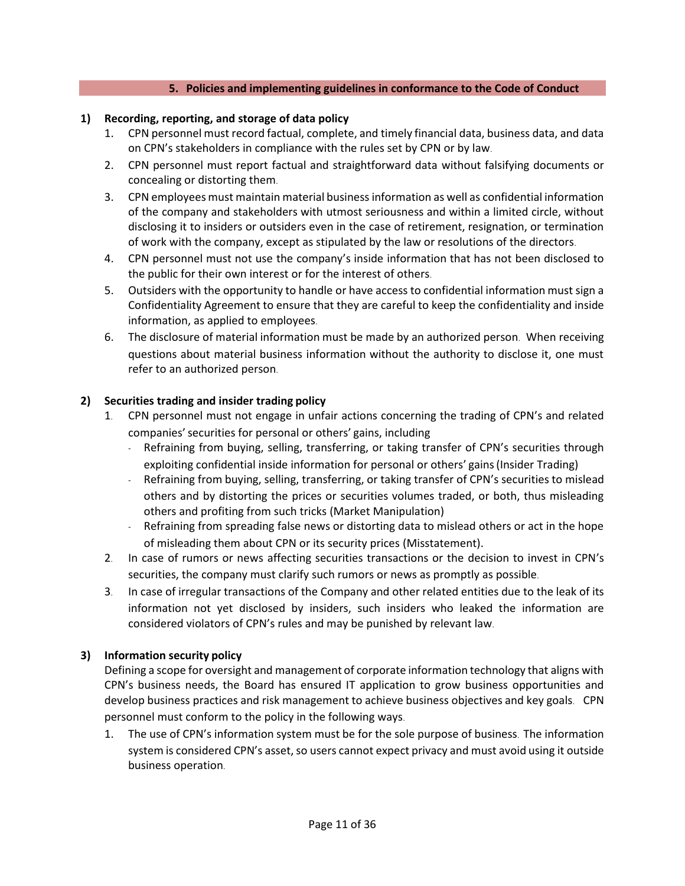#### **5. Policies and implementing guidelines in conformance to the Code of Conduct**

#### **1) Recording, reporting, and storage of data policy**

- 1. CPN personnel must record factual, complete, and timely financial data, business data, and data on CPN's stakeholders in compliance with the rules set by CPN or by law.
- 2. CPN personnel must report factual and straightforward data without falsifying documents or concealing or distorting them.
- 3. CPN employees must maintain material business information as well as confidential information of the company and stakeholders with utmost seriousness and within a limited circle, without disclosing it to insiders or outsiders even in the case of retirement, resignation, or termination of work with the company, except as stipulated by the law or resolutions of the directors.
- 4. CPN personnel must not use the company's inside information that has not been disclosed to the public for their own interest or for the interest of others.
- 5. Outsiders with the opportunity to handle or have access to confidential information must sign a Confidentiality Agreement to ensure that they are careful to keep the confidentiality and inside information, as applied to employees.
- 6. The disclosure of material information must be made by an authorized person. When receiving questions about material business information without the authority to disclose it, one must refer to an authorized person.

#### **2) Securities trading and insider trading policy**

- 1. CPN personnel must not engage in unfair actions concerning the trading of CPN's and related companies'securities for personal or others' gains, including
	- Refraining from buying, selling, transferring, or taking transfer of CPN's securities through exploiting confidential inside information for personal or others' gains(Insider Trading)
	- Refraining from buying, selling, transferring, or taking transfer of CPN's securities to mislead others and by distorting the prices or securities volumes traded, or both, thus misleading others and profiting from such tricks (Market Manipulation)
	- Refraining from spreading false news or distorting data to mislead others or act in the hope of misleading them about CPN or its security prices (Misstatement).
- 2. In case of rumors or news affecting securities transactions or the decision to invest in CPN's securities, the company must clarify such rumors or news as promptly as possible.
- 3. In case of irregular transactions of the Company and other related entities due to the leak of its information not yet disclosed by insiders, such insiders who leaked the information are considered violators of CPN's rules and may be punished by relevant law.

#### **3) Information security policy**

Defining a scope for oversight and management of corporate information technology that aligns with CPN's business needs, the Board has ensured IT application to grow business opportunities and develop business practices and risk management to achieve business objectives and key goals. CPN personnel must conform to the policy in the following ways.

1. The use of CPN's information system must be for the sole purpose of business. The information system is considered CPN's asset, so users cannot expect privacy and must avoid using it outside business operation.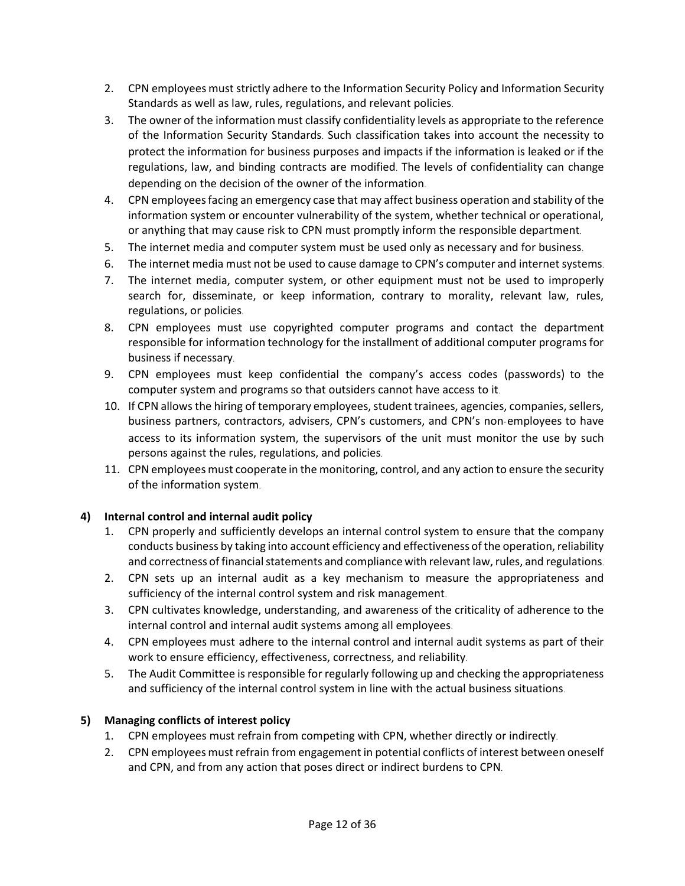- 2. CPN employees must strictly adhere to the Information Security Policy and Information Security Standards as well as law, rules, regulations, and relevant policies.
- 3. The owner of the information must classify confidentiality levels as appropriate to the reference of the Information Security Standards. Such classification takes into account the necessity to protect the information for business purposes and impacts if the information is leaked or if the regulations, law, and binding contracts are modified. The levels of confidentiality can change depending on the decision of the owner of the information.
- 4. CPN employees facing an emergency case that may affect business operation and stability of the information system or encounter vulnerability of the system, whether technical or operational, or anything that may cause risk to CPN must promptly inform the responsible department.
- 5. The internet media and computer system must be used only as necessary and for business.
- 6. The internet media must not be used to cause damage to CPN's computer and internet systems.
- 7. The internet media, computer system, or other equipment must not be used to improperly search for, disseminate, or keep information, contrary to morality, relevant law, rules, regulations, or policies.
- 8. CPN employees must use copyrighted computer programs and contact the department responsible for information technology for the installment of additional computer programs for business if necessary.
- 9. CPN employees must keep confidential the company's access codes (passwords) to the computer system and programs so that outsiders cannot have access to it.
- 10. If CPN allows the hiring of temporary employees, student trainees, agencies, companies, sellers, business partners, contractors, advisers, CPN's customers, and CPN's non-employees to have access to its information system, the supervisors of the unit must monitor the use by such persons against the rules, regulations, and policies.
- 11. CPN employees must cooperate in the monitoring, control, and any action to ensure the security of the information system.

### **4) Internal control and internal audit policy**

- 1. CPN properly and sufficiently develops an internal control system to ensure that the company conducts business by taking into account efficiency and effectiveness of the operation, reliability and correctness of financial statements and compliance with relevant law, rules, and regulations.
- 2. CPN sets up an internal audit as a key mechanism to measure the appropriateness and sufficiency of the internal control system and risk management.
- 3. CPN cultivates knowledge, understanding, and awareness of the criticality of adherence to the internal control and internal audit systems among all employees.
- 4. CPN employees must adhere to the internal control and internal audit systems as part of their work to ensure efficiency, effectiveness, correctness, and reliability.
- 5. The Audit Committee is responsible for regularly following up and checking the appropriateness and sufficiency of the internal control system in line with the actual business situations.

### **5) Managing conflicts of interest policy**

- 1. CPN employees must refrain from competing with CPN, whether directly or indirectly.
- 2. CPN employees must refrain from engagement in potential conflicts of interest between oneself and CPN, and from any action that poses direct or indirect burdens to CPN.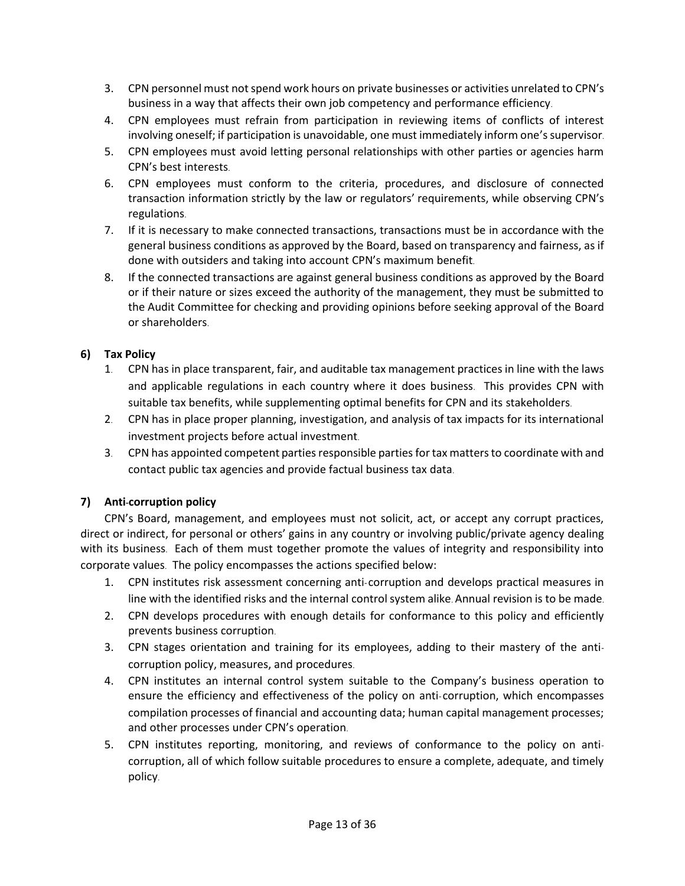- 3. CPN personnel must not spend work hours on private businesses or activities unrelated to CPN's business in a way that affects their own job competency and performance efficiency.
- 4. CPN employees must refrain from participation in reviewing items of conflicts of interest involving oneself; if participation is unavoidable, one must immediately inform one's supervisor.
- 5. CPN employees must avoid letting personal relationships with other parties or agencies harm CPN's best interests.
- 6. CPN employees must conform to the criteria, procedures, and disclosure of connected transaction information strictly by the law or regulators' requirements, while observing CPN's regulations.
- 7. If it is necessary to make connected transactions, transactions must be in accordance with the general business conditions as approved by the Board, based on transparency and fairness, as if done with outsiders and taking into account CPN's maximum benefit.
- 8. If the connected transactions are against general business conditions as approved by the Board or if their nature or sizes exceed the authority of the management, they must be submitted to the Audit Committee for checking and providing opinions before seeking approval of the Board or shareholders.

### **6) Tax Policy**

- 1. CPN has in place transparent, fair, and auditable tax management practices in line with the laws and applicable regulations in each country where it does business. This provides CPN with suitable tax benefits, while supplementing optimal benefits for CPN and its stakeholders.
- 2. CPN has in place proper planning, investigation, and analysis of tax impacts for its international investment projects before actual investment.
- 3. CPN has appointed competent parties responsible parties for tax matters to coordinate with and contact public tax agencies and provide factual business tax data.

### **7) Anti-corruption policy**

CPN's Board, management, and employees must not solicit, act, or accept any corrupt practices, direct or indirect, for personal or others' gains in any country or involving public/private agency dealing with its business. Each of them must together promote the values of integrity and responsibility into corporate values. The policy encompasses the actions specified below:

- 1. CPN institutes risk assessment concerning anti-corruption and develops practical measures in line with the identified risks and the internal control system alike. Annual revision is to be made.
- 2. CPN develops procedures with enough details for conformance to this policy and efficiently prevents business corruption.
- 3. CPN stages orientation and training for its employees, adding to their mastery of the anticorruption policy, measures, and procedures.
- 4. CPN institutes an internal control system suitable to the Company's business operation to ensure the efficiency and effectiveness of the policy on anti-corruption, which encompasses compilation processes of financial and accounting data; human capital management processes; and other processes under CPN's operation.
- 5. CPN institutes reporting, monitoring, and reviews of conformance to the policy on anticorruption, all of which follow suitable procedures to ensure a complete, adequate, and timely policy.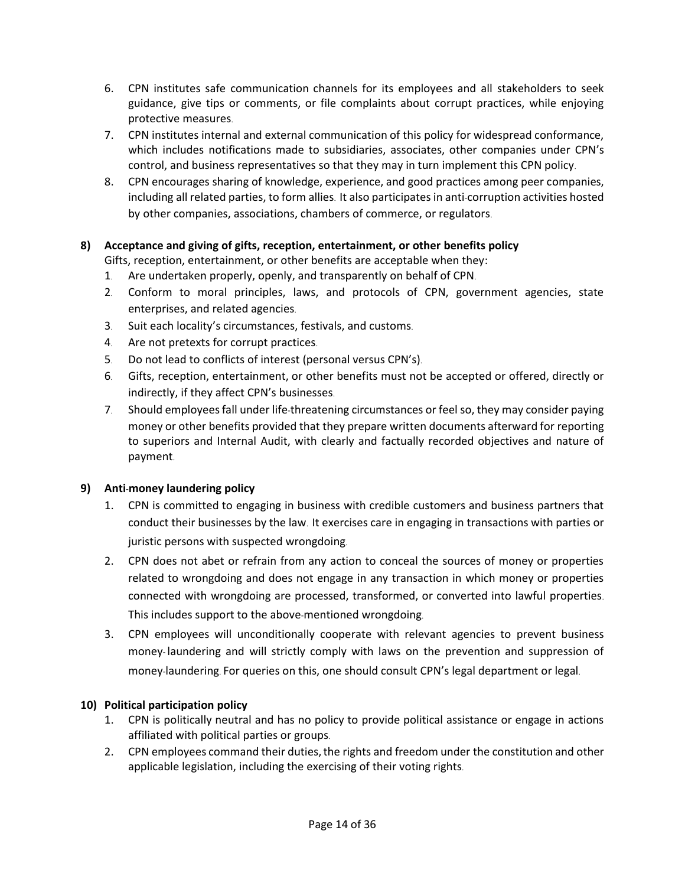- 6. CPN institutes safe communication channels for its employees and all stakeholders to seek guidance, give tips or comments, or file complaints about corrupt practices, while enjoying protective measures.
- 7. CPN institutes internal and external communication of this policy for widespread conformance, which includes notifications made to subsidiaries, associates, other companies under CPN's control, and business representatives so that they may in turn implement this CPN policy.
- 8. CPN encourages sharing of knowledge, experience, and good practices among peer companies, including all related parties, to form allies. It also participates in anti-corruption activities hosted by other companies, associations, chambers of commerce, or regulators.

### **8) Acceptance and giving of gifts, reception, entertainment, or other benefits policy**

Gifts, reception, entertainment, or other benefits are acceptable when they:

- 1. Are undertaken properly, openly, and transparently on behalf of CPN.
- 2. Conform to moral principles, laws, and protocols of CPN, government agencies, state enterprises, and related agencies.
- 3. Suit each locality's circumstances, festivals, and customs.
- 4. Are not pretexts for corrupt practices.
- 5. Do not lead to conflicts of interest (personal versus CPN's).
- 6. Gifts, reception, entertainment, or other benefits must not be accepted or offered, directly or indirectly, if they affect CPN's businesses.
- 7. Should employees fall under life-threatening circumstances or feel so, they may consider paying money or other benefits provided that they prepare written documents afterward for reporting to superiors and Internal Audit, with clearly and factually recorded objectives and nature of payment.

### **9) Anti-money laundering policy**

- 1. CPN is committed to engaging in business with credible customers and business partners that conduct their businesses by the law. It exercises care in engaging in transactions with parties or juristic persons with suspected wrongdoing.
- 2. CPN does not abet or refrain from any action to conceal the sources of money or properties related to wrongdoing and does not engage in any transaction in which money or properties connected with wrongdoing are processed, transformed, or converted into lawful properties. This includes support to the above-mentioned wrongdoing.
- 3. CPN employees will unconditionally cooperate with relevant agencies to prevent business money- laundering and will strictly comply with laws on the prevention and suppression of money-laundering. For queries on this, one should consult CPN's legal department or legal.

# **10) Political participation policy**

- 1. CPN is politically neutral and has no policy to provide political assistance or engage in actions affiliated with political parties or groups.
- 2. CPN employees command their duties, the rights and freedom under the constitution and other applicable legislation, including the exercising of their voting rights.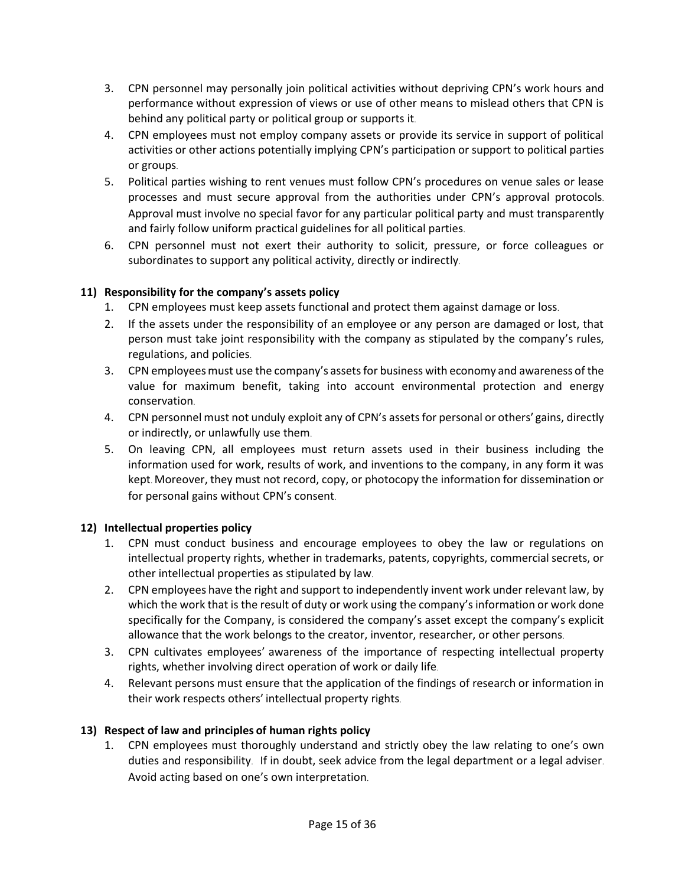- 3. CPN personnel may personally join political activities without depriving CPN's work hours and performance without expression of views or use of other means to mislead others that CPN is behind any political party or political group or supports it.
- 4. CPN employees must not employ company assets or provide its service in support of political activities or other actions potentially implying CPN's participation or support to political parties or groups.
- 5. Political parties wishing to rent venues must follow CPN's procedures on venue sales or lease processes and must secure approval from the authorities under CPN's approval protocols. Approval must involve no special favor for any particular political party and must transparently and fairly follow uniform practical guidelines for all political parties.
- 6. CPN personnel must not exert their authority to solicit, pressure, or force colleagues or subordinates to support any political activity, directly or indirectly.

# **11) Responsibility for the company's assets policy**

- 1. CPN employees must keep assets functional and protect them against damage or loss.
- 2. If the assets under the responsibility of an employee or any person are damaged or lost, that person must take joint responsibility with the company as stipulated by the company's rules, regulations, and policies.
- 3. CPN employees must use the company's assets for business with economy and awareness of the value for maximum benefit, taking into account environmental protection and energy conservation.
- 4. CPN personnel must not unduly exploit any of CPN's assets for personal or others' gains, directly or indirectly, or unlawfully use them.
- 5. On leaving CPN, all employees must return assets used in their business including the information used for work, results of work, and inventions to the company, in any form it was kept. Moreover, they must not record, copy, or photocopy the information for dissemination or for personal gains without CPN's consent.

### **12) Intellectual properties policy**

- 1. CPN must conduct business and encourage employees to obey the law or regulations on intellectual property rights, whether in trademarks, patents, copyrights, commercial secrets, or other intellectual properties as stipulated by law.
- 2. CPN employees have the right and support to independently invent work under relevant law, by which the work that is the result of duty or work using the company's information or work done specifically for the Company, is considered the company's asset except the company's explicit allowance that the work belongs to the creator, inventor, researcher, or other persons.
- 3. CPN cultivates employees' awareness of the importance of respecting intellectual property rights, whether involving direct operation of work or daily life.
- 4. Relevant persons must ensure that the application of the findings of research or information in their work respects others' intellectual property rights.

# **13) Respect of law and principles of human rights policy**

1. CPN employees must thoroughly understand and strictly obey the law relating to one's own duties and responsibility. If in doubt, seek advice from the legal department or a legal adviser. Avoid acting based on one's own interpretation.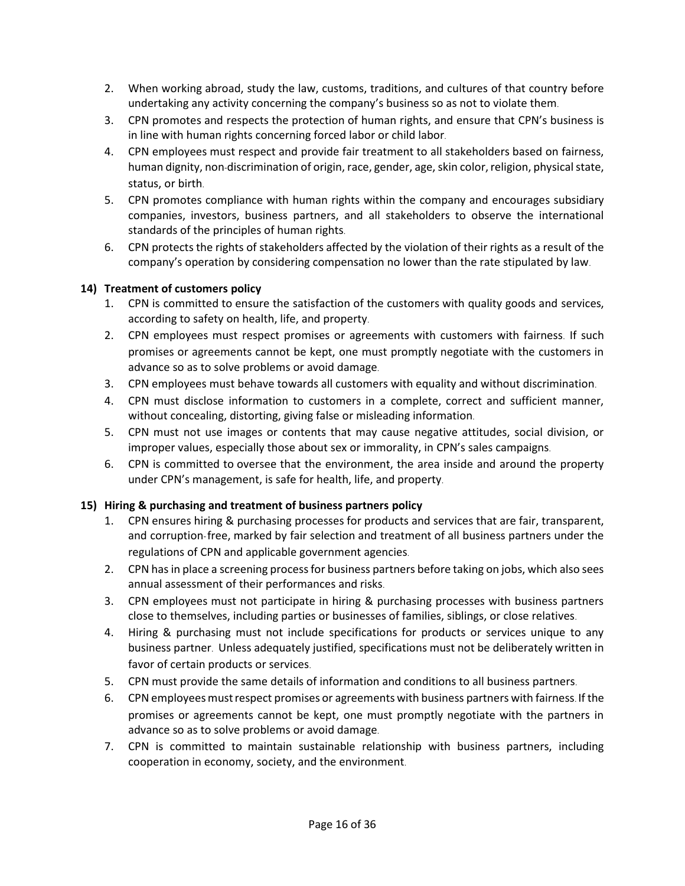- 2. When working abroad, study the law, customs, traditions, and cultures of that country before undertaking any activity concerning the company's business so as not to violate them.
- 3. CPN promotes and respects the protection of human rights, and ensure that CPN's business is in line with human rights concerning forced labor or child labor.
- 4. CPN employees must respect and provide fair treatment to all stakeholders based on fairness, human dignity, non-discrimination of origin, race, gender, age, skin color, religion, physical state, status, or birth.
- 5. CPN promotes compliance with human rights within the company and encourages subsidiary companies, investors, business partners, and all stakeholders to observe the international standards of the principles of human rights.
- 6. CPN protects the rights of stakeholders affected by the violation of their rights as a result of the company's operation by considering compensation no lower than the rate stipulated by law.

### **14) Treatment of customers policy**

- 1. CPN is committed to ensure the satisfaction of the customers with quality goods and services, according to safety on health, life, and property.
- 2. CPN employees must respect promises or agreements with customers with fairness. If such promises or agreements cannot be kept, one must promptly negotiate with the customers in advance so as to solve problems or avoid damage.
- 3. CPN employees must behave towards all customers with equality and without discrimination.
- 4. CPN must disclose information to customers in a complete, correct and sufficient manner, without concealing, distorting, giving false or misleading information.
- 5. CPN must not use images or contents that may cause negative attitudes, social division, or improper values, especially those about sex or immorality, in CPN's sales campaigns.
- 6. CPN is committed to oversee that the environment, the area inside and around the property under CPN's management, is safe for health, life, and property.

# **15) Hiring & purchasing and treatment of business partners policy**

- 1. CPN ensures hiring & purchasing processes for products and services that are fair, transparent, and corruption-free, marked by fair selection and treatment of all business partners under the regulations of CPN and applicable government agencies.
- 2. CPN has in place a screening process for business partners before taking on jobs, which also sees annual assessment of their performances and risks.
- 3. CPN employees must not participate in hiring & purchasing processes with business partners close to themselves, including parties or businesses of families, siblings, or close relatives.
- 4. Hiring & purchasing must not include specifications for products or services unique to any business partner. Unless adequately justified, specifications must not be deliberately written in favor of certain products or services.
- 5. CPN must provide the same details of information and conditions to all business partners.
- 6. CPN employees mustrespect promises or agreements with business partners with fairness. If the promises or agreements cannot be kept, one must promptly negotiate with the partners in advance so as to solve problems or avoid damage.
- 7. CPN is committed to maintain sustainable relationship with business partners, including cooperation in economy, society, and the environment.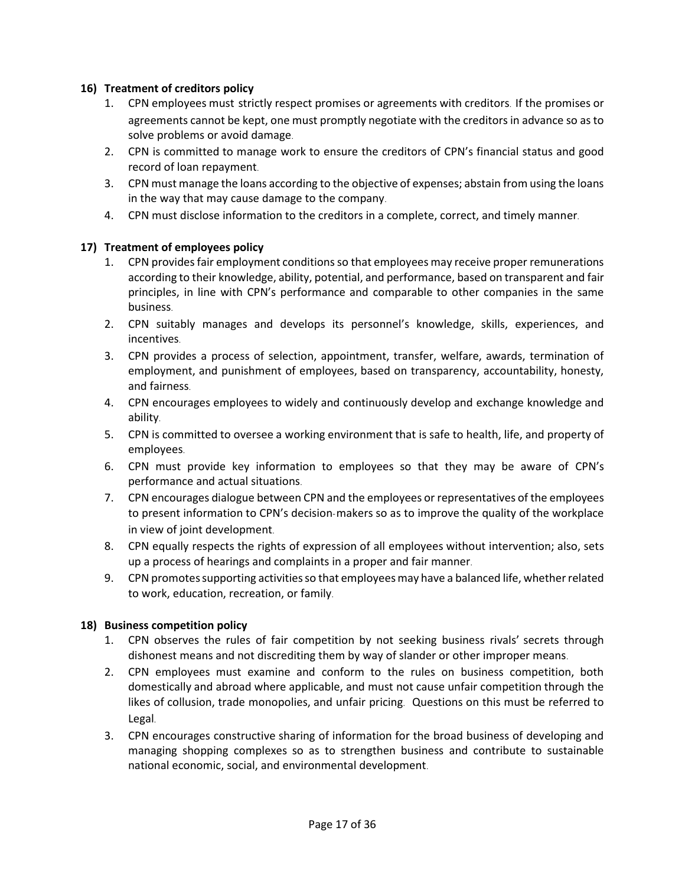#### **16) Treatment of creditors policy**

- 1. CPN employees must strictly respect promises or agreements with creditors. If the promises or agreements cannot be kept, one must promptly negotiate with the creditors in advance so as to solve problems or avoid damage.
- 2. CPN is committed to manage work to ensure the creditors of CPN's financial status and good record of loan repayment.
- 3. CPN must manage the loans according to the objective of expenses; abstain from using the loans in the way that may cause damage to the company.
- 4. CPN must disclose information to the creditors in a complete, correct, and timely manner.

#### **17) Treatment of employees policy**

- 1. CPN providesfair employment conditions so that employees may receive proper remunerations according to their knowledge, ability, potential, and performance, based on transparent and fair principles, in line with CPN's performance and comparable to other companies in the same business.
- 2. CPN suitably manages and develops its personnel's knowledge, skills, experiences, and incentives.
- 3. CPN provides a process of selection, appointment, transfer, welfare, awards, termination of employment, and punishment of employees, based on transparency, accountability, honesty, and fairness.
- 4. CPN encourages employees to widely and continuously develop and exchange knowledge and ability.
- 5. CPN is committed to oversee a working environment that is safe to health, life, and property of employees.
- 6. CPN must provide key information to employees so that they may be aware of CPN's performance and actual situations.
- 7. CPN encourages dialogue between CPN and the employees or representatives of the employees to present information to CPN's decision-makers so as to improve the quality of the workplace in view of joint development.
- 8. CPN equally respects the rights of expression of all employees without intervention; also, sets up a process of hearings and complaints in a proper and fair manner.
- 9. CPN promotessupporting activities so that employees may have a balanced life, whether related to work, education, recreation, or family.

### **18) Business competition policy**

- 1. CPN observes the rules of fair competition by not seeking business rivals' secrets through dishonest means and not discrediting them by way of slander or other improper means.
- 2. CPN employees must examine and conform to the rules on business competition, both domestically and abroad where applicable, and must not cause unfair competition through the likes of collusion, trade monopolies, and unfair pricing. Questions on this must be referred to Legal.
- 3. CPN encourages constructive sharing of information for the broad business of developing and managing shopping complexes so as to strengthen business and contribute to sustainable national economic, social, and environmental development.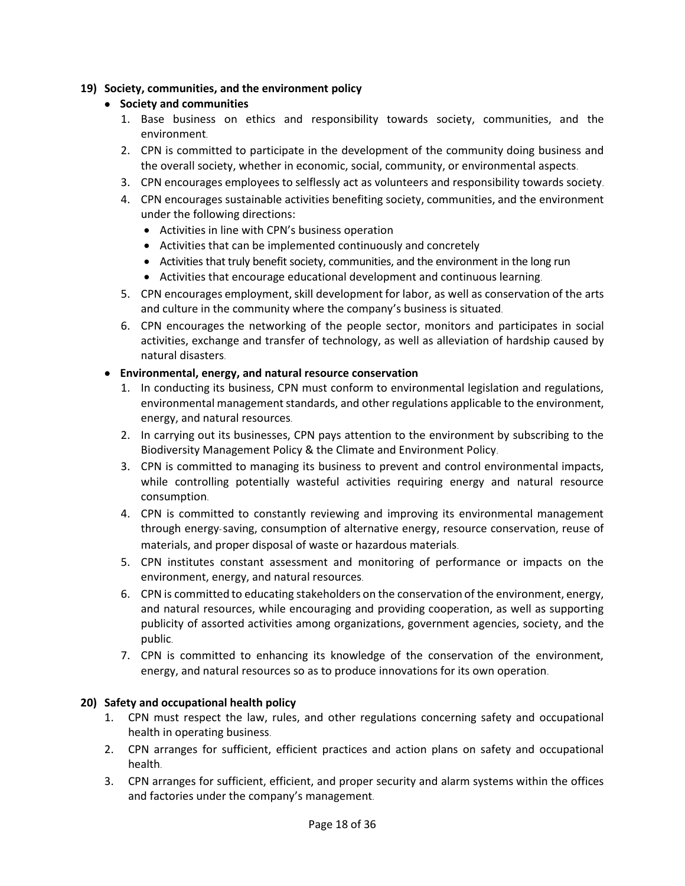### **19) Society, communities, and the environment policy**

### • **Society and communities**

- 1. Base business on ethics and responsibility towards society, communities, and the environment.
- 2. CPN is committed to participate in the development of the community doing business and the overall society, whether in economic, social, community, or environmental aspects.
- 3. CPN encourages employees to selflessly act as volunteers and responsibility towards society.
- 4. CPN encourages sustainable activities benefiting society, communities, and the environment under the following directions:
	- Activities in line with CPN's business operation
	- Activities that can be implemented continuously and concretely
	- Activities that truly benefit society, communities, and the environment in the long run
	- Activities that encourage educational development and continuous learning.
- 5. CPN encourages employment, skill development for labor, as well as conservation of the arts and culture in the community where the company's business is situated.
- 6. CPN encourages the networking of the people sector, monitors and participates in social activities, exchange and transfer of technology, as well as alleviation of hardship caused by natural disasters.

#### • **Environmental, energy, and natural resource conservation**

- 1. In conducting its business, CPN must conform to environmental legislation and regulations, environmental management standards, and other regulations applicable to the environment, energy, and natural resources.
- 2. In carrying out its businesses, CPN pays attention to the environment by subscribing to the Biodiversity Management Policy & the Climate and Environment Policy.
- 3. CPN is committed to managing its business to prevent and control environmental impacts, while controlling potentially wasteful activities requiring energy and natural resource consumption.
- 4. CPN is committed to constantly reviewing and improving its environmental management through energy-saving, consumption of alternative energy, resource conservation, reuse of materials, and proper disposal of waste or hazardous materials.
- 5. CPN institutes constant assessment and monitoring of performance or impacts on the environment, energy, and natural resources.
- 6. CPN is committed to educating stakeholders on the conservation of the environment, energy, and natural resources, while encouraging and providing cooperation, as well as supporting publicity of assorted activities among organizations, government agencies, society, and the public.
- 7. CPN is committed to enhancing its knowledge of the conservation of the environment, energy, and natural resources so as to produce innovations for its own operation.

### **20) Safety and occupational health policy**

- 1. CPN must respect the law, rules, and other regulations concerning safety and occupational health in operating business.
- 2. CPN arranges for sufficient, efficient practices and action plans on safety and occupational health.
- 3. CPN arranges for sufficient, efficient, and proper security and alarm systems within the offices and factories under the company's management.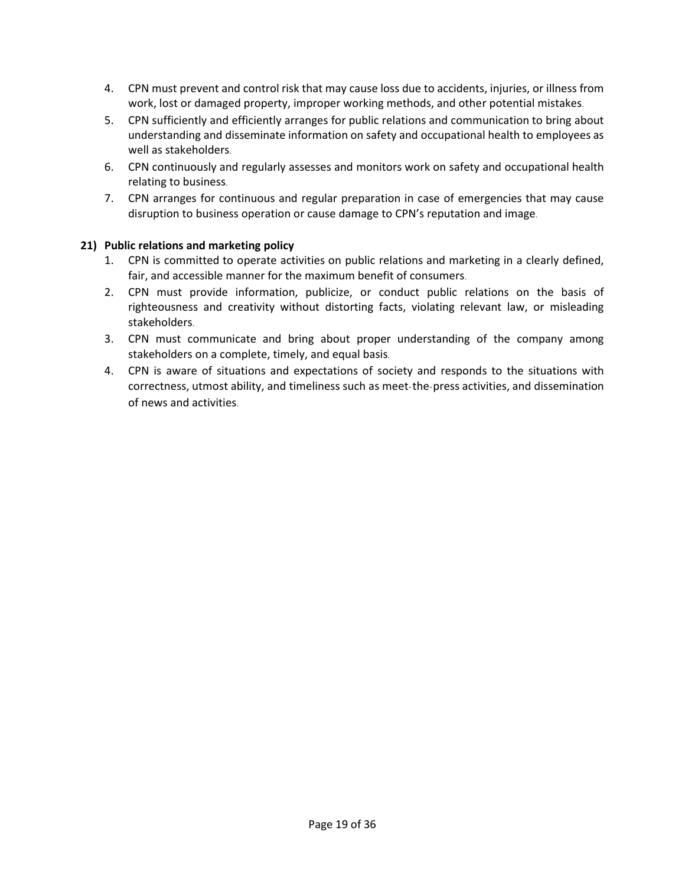- 4. CPN must prevent and control risk that may cause loss due to accidents, injuries, or illness from work, lost or damaged property, improper working methods, and other potential mistakes.
- 5. CPN sufficiently and efficiently arranges for public relations and communication to bring about understanding and disseminate information on safety and occupational health to employees as well as stakeholders.
- 6. CPN continuously and regularly assesses and monitors work on safety and occupational health relating to business.
- 7. CPN arranges for continuous and regular preparation in case of emergencies that may cause disruption to business operation or cause damage to CPN's reputation and image.

### **21) Public relations and marketing policy**

- 1. CPN is committed to operate activities on public relations and marketing in a clearly defined, fair, and accessible manner for the maximum benefit of consumers.
- 2. CPN must provide information, publicize, or conduct public relations on the basis of righteousness and creativity without distorting facts, violating relevant law, or misleading stakeholders.
- 3. CPN must communicate and bring about proper understanding of the company among stakeholders on a complete, timely, and equal basis.
- 4. CPN is aware of situations and expectations of society and responds to the situations with correctness, utmost ability, and timeliness such as meet-the-press activities, and dissemination of news and activities.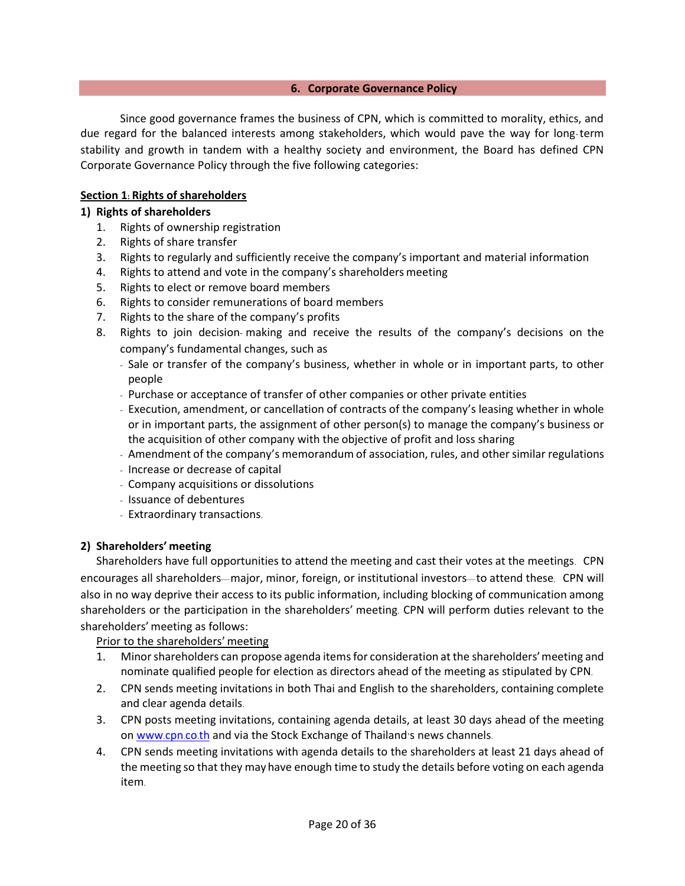#### **6. Corporate Governance Policy**

Since good governance frames the business of CPN, which is committed to morality, ethics, and due regard for the balanced interests among stakeholders, which would pave the way for long-term stability and growth in tandem with a healthy society and environment, the Board has defined CPN Corporate Governance Policy through the five following categories:

#### **Section 1: Rights of shareholders**

#### **1) Rights of shareholders**

- 1. Rights of ownership registration
- 2. Rights of share transfer
- 3. Rights to regularly and sufficiently receive the company's important and material information
- 4. Rights to attend and vote in the company's shareholders meeting
- 5. Rights to elect or remove board members
- 6. Rights to consider remunerations of board members
- 7. Rights to the share of the company's profits
- 8. Rights to join decision- making and receive the results of the company's decisions on the company's fundamental changes, such as
	- Sale or transfer of the company's business, whether in whole or in important parts, to other people
	- Purchase or acceptance of transfer of other companies or other private entities
	- Execution, amendment, or cancellation of contracts of the company's leasing whether in whole or in important parts, the assignment of other person(s) to manage the company's business or the acquisition of other company with the objective of profit and loss sharing
	- Amendment of the company's memorandum of association, rules, and other similar regulations
	- Increase or decrease of capital
	- Company acquisitions or dissolutions
	- Issuance of debentures
	- Extraordinary transactions.

#### **2) Shareholders' meeting**

Shareholders have full opportunities to attend the meeting and cast their votes at the meetings. CPN encourages all shareholders—major, minor, foreign, or institutional investors—to attend these. CPN will also in no way deprive their access to its public information, including blocking of communication among shareholders or the participation in the shareholders' meeting. CPN will perform duties relevant to the shareholders' meeting as follows:

Prior to the shareholders' meeting

- 1. Minor shareholders can propose agenda items for consideration at the shareholders'meeting and nominate qualified people for election as directors ahead of the meeting as stipulated by CPN.
- 2. CPN sends meeting invitations in both Thai and English to the shareholders, containing complete and clear agenda details.
- 3. CPN posts meeting invitations, containing agenda details, at least 30 days ahead of the meeting on [www](http://www.cpn.co.th/).cpn.co.th and via the Stock Exchange of Thailand's news channels.
- 4. CPN sends meeting invitations with agenda details to the shareholders at least 21 days ahead of the meeting so that they mayhave enough time to study the details before voting on each agenda item.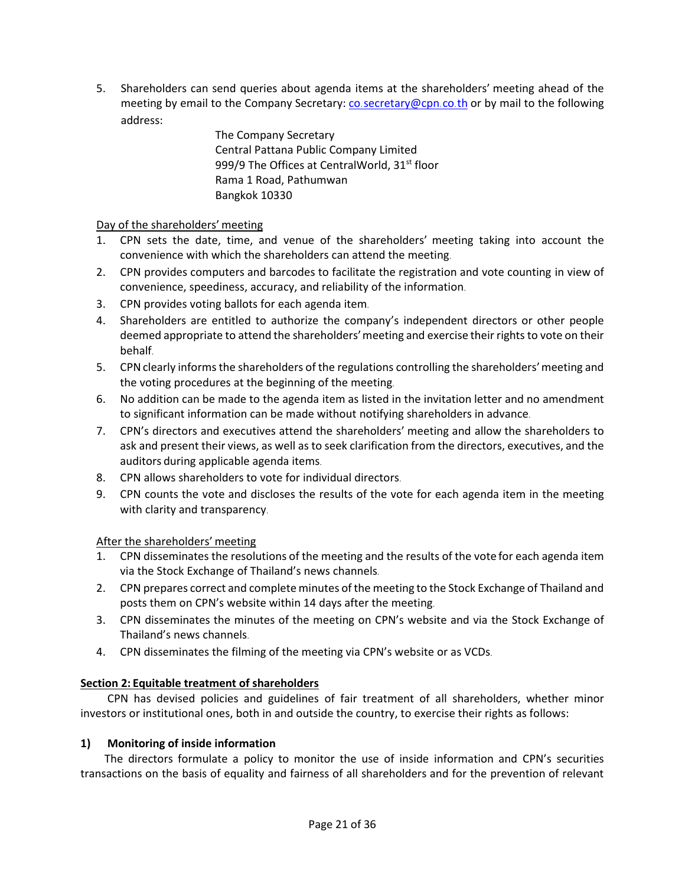5. Shareholders can send queries about agenda items at the shareholders' meeting ahead of the meeting by email to the Company Secretary: co.[secretary@cpn](mailto:secretary@cpn.co.th).co.th or by mail to the following address:

> The Company Secretary Central Pattana Public Company Limited 999/9 The Offices at CentralWorld, 31<sup>st</sup> floor Rama 1 Road, Pathumwan Bangkok 10330

### Day of the shareholders' meeting

- 1. CPN sets the date, time, and venue of the shareholders' meeting taking into account the convenience with which the shareholders can attend the meeting.
- 2. CPN provides computers and barcodes to facilitate the registration and vote counting in view of convenience, speediness, accuracy, and reliability of the information.
- 3. CPN provides voting ballots for each agenda item.
- 4. Shareholders are entitled to authorize the company's independent directors or other people deemed appropriate to attend the shareholders'meeting and exercise their rights to vote on their behalf.
- 5. CPN clearly informs the shareholders of the regulations controlling the shareholders' meeting and the voting procedures at the beginning of the meeting.
- 6. No addition can be made to the agenda item as listed in the invitation letter and no amendment to significant information can be made without notifying shareholders in advance.
- 7. CPN's directors and executives attend the shareholders' meeting and allow the shareholders to ask and present their views, as well as to seek clarification from the directors, executives, and the auditors during applicable agenda items.
- 8. CPN allows shareholders to vote for individual directors.
- 9. CPN counts the vote and discloses the results of the vote for each agenda item in the meeting with clarity and transparency.

### After the shareholders' meeting

- 1. CPN disseminates the resolutions of the meeting and the results of the vote for each agenda item via the Stock Exchange of Thailand's news channels.
- 2. CPN prepares correct and complete minutes of the meeting to the Stock Exchange of Thailand and posts them on CPN's website within 14 days after the meeting.
- 3. CPN disseminates the minutes of the meeting on CPN's website and via the Stock Exchange of Thailand's news channels.
- 4. CPN disseminates the filming of the meeting via CPN's website or as VCDs.

### **Section 2: Equitable treatment of shareholders**

CPN has devised policies and guidelines of fair treatment of all shareholders, whether minor investors or institutional ones, both in and outside the country, to exercise their rights as follows:

### **1) Monitoring of inside information**

The directors formulate a policy to monitor the use of inside information and CPN's securities transactions on the basis of equality and fairness of all shareholders and for the prevention of relevant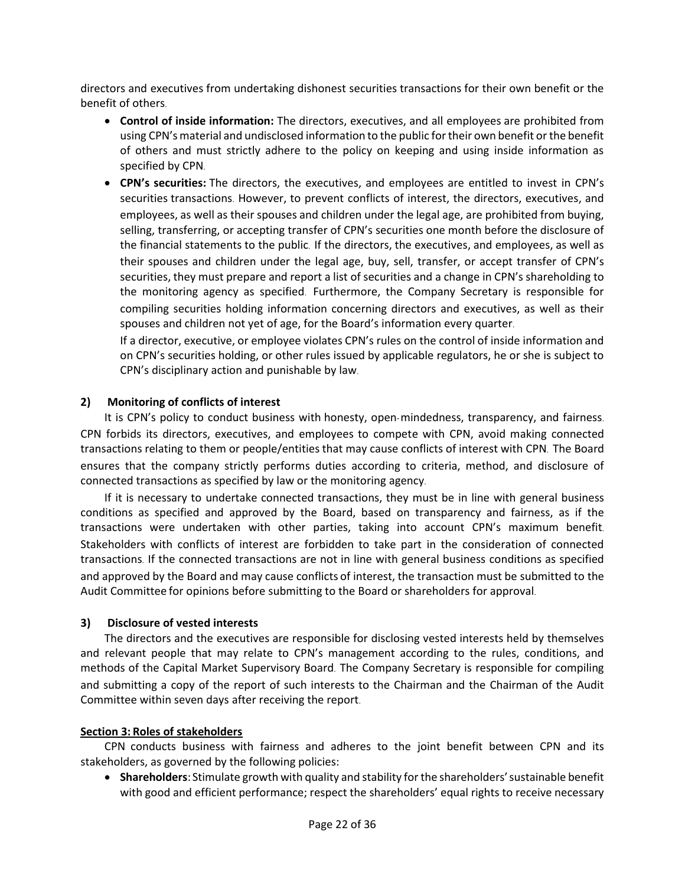directors and executives from undertaking dishonest securities transactions for their own benefit or the benefit of others.

- **Control of inside information:** The directors, executives, and all employees are prohibited from using CPN's material and undisclosed information to the public for their own benefit or the benefit of others and must strictly adhere to the policy on keeping and using inside information as specified by CPN.
- **CPN's securities:** The directors, the executives, and employees are entitled to invest in CPN's securities transactions. However, to prevent conflicts of interest, the directors, executives, and employees, as well as their spouses and children under the legal age, are prohibited from buying, selling, transferring, or accepting transfer of CPN's securities one month before the disclosure of the financial statements to the public. If the directors, the executives, and employees, as well as their spouses and children under the legal age, buy, sell, transfer, or accept transfer of CPN's securities, they must prepare and report a list of securities and a change in CPN's shareholding to the monitoring agency as specified. Furthermore, the Company Secretary is responsible for compiling securities holding information concerning directors and executives, as well as their spouses and children not yet of age, for the Board's information every quarter.

If a director, executive, or employee violates CPN's rules on the control of inside information and on CPN's securities holding, or other rules issued by applicable regulators, he or she is subject to CPN's disciplinary action and punishable by law.

#### **2) Monitoring of conflicts of interest**

It is CPN's policy to conduct business with honesty, open-mindedness, transparency, and fairness. CPN forbids its directors, executives, and employees to compete with CPN, avoid making connected transactions relating to them or people/entities that may cause conflicts of interest with CPN. The Board ensures that the company strictly performs duties according to criteria, method, and disclosure of connected transactions as specified by law or the monitoring agency.

If it is necessary to undertake connected transactions, they must be in line with general business conditions as specified and approved by the Board, based on transparency and fairness, as if the transactions were undertaken with other parties, taking into account CPN's maximum benefit. Stakeholders with conflicts of interest are forbidden to take part in the consideration of connected transactions. If the connected transactions are not in line with general business conditions as specified and approved by the Board and may cause conflicts of interest, the transaction must be submitted to the Audit Committee for opinions before submitting to the Board or shareholders for approval.

#### **3) Disclosure of vested interests**

The directors and the executives are responsible for disclosing vested interests held by themselves and relevant people that may relate to CPN's management according to the rules, conditions, and methods of the Capital Market Supervisory Board. The Company Secretary is responsible for compiling and submitting a copy of the report of such interests to the Chairman and the Chairman of the Audit Committee within seven days after receiving the report.

#### **Section 3: Roles of stakeholders**

CPN conducts business with fairness and adheres to the joint benefit between CPN and its stakeholders, as governed by the following policies:

• **Shareholders**: Stimulate growth with quality and stability for the shareholders'sustainable benefit with good and efficient performance; respect the shareholders' equal rights to receive necessary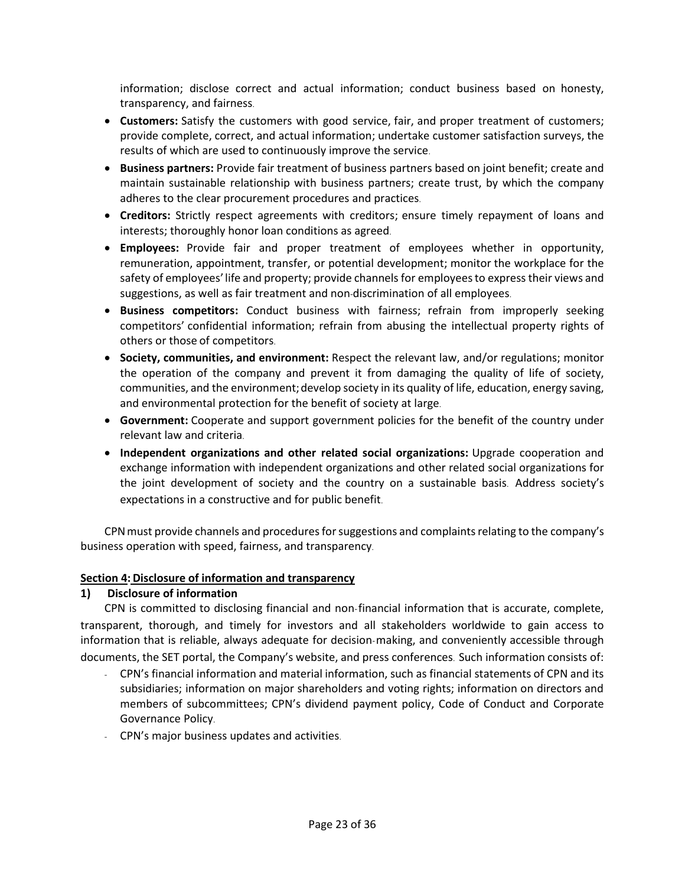information; disclose correct and actual information; conduct business based on honesty, transparency, and fairness.

- **Customers:** Satisfy the customers with good service, fair, and proper treatment of customers; provide complete, correct, and actual information; undertake customer satisfaction surveys, the results of which are used to continuously improve the service.
- **Business partners:** Provide fair treatment of business partners based on joint benefit; create and maintain sustainable relationship with business partners; create trust, by which the company adheres to the clear procurement procedures and practices.
- **Creditors:** Strictly respect agreements with creditors; ensure timely repayment of loans and interests; thoroughly honor loan conditions as agreed.
- **Employees:** Provide fair and proper treatment of employees whether in opportunity, remuneration, appointment, transfer, or potential development; monitor the workplace for the safety of employees' life and property; provide channels for employees to express their views and suggestions, as well as fair treatment and non-discrimination of all employees.
- **Business competitors:** Conduct business with fairness; refrain from improperly seeking competitors' confidential information; refrain from abusing the intellectual property rights of others or those of competitors.
- **Society, communities, and environment:** Respect the relevant law, and/or regulations; monitor the operation of the company and prevent it from damaging the quality of life of society, communities, and the environment; develop society in its quality of life, education, energy saving, and environmental protection for the benefit of society at large.
- **Government:** Cooperate and support government policies for the benefit of the country under relevant law and criteria.
- **Independent organizations and other related social organizations:** Upgrade cooperation and exchange information with independent organizations and other related social organizations for the joint development of society and the country on a sustainable basis. Address society's expectations in a constructive and for public benefit.

CPNmust provide channels and procedures for suggestions and complaints relating to the company's business operation with speed, fairness, and transparency.

### **Section 4: Disclosure of information and transparency**

### **1) Disclosure of information**

CPN is committed to disclosing financial and non-financial information that is accurate, complete, transparent, thorough, and timely for investors and all stakeholders worldwide to gain access to information that is reliable, always adequate for decision-making, and conveniently accessible through documents, the SET portal, the Company's website, and press conferences. Such information consists of:

- CPN's financial information and material information, such as financial statements of CPN and its subsidiaries; information on major shareholders and voting rights; information on directors and members of subcommittees; CPN's dividend payment policy, Code of Conduct and Corporate Governance Policy.
- CPN's major business updates and activities.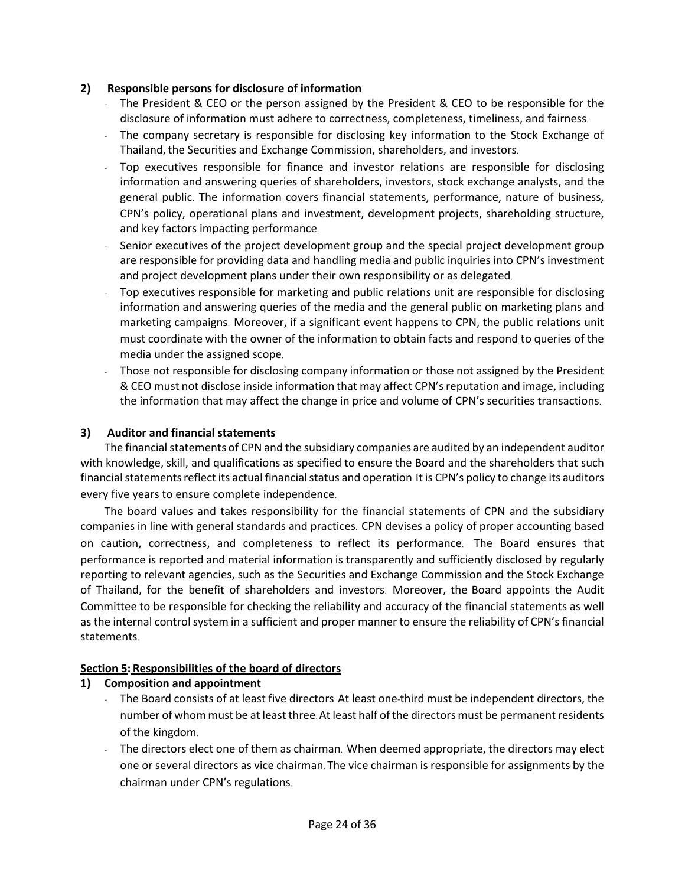#### **2) Responsible persons for disclosure of information**

- The President & CEO or the person assigned by the President & CEO to be responsible for the disclosure of information must adhere to correctness, completeness, timeliness, and fairness.
- The company secretary is responsible for disclosing key information to the Stock Exchange of Thailand, the Securities and Exchange Commission, shareholders, and investors.
- Top executives responsible for finance and investor relations are responsible for disclosing information and answering queries of shareholders, investors, stock exchange analysts, and the general public. The information covers financial statements, performance, nature of business, CPN's policy, operational plans and investment, development projects, shareholding structure, and key factors impacting performance.
- Senior executives of the project development group and the special project development group are responsible for providing data and handling media and public inquiries into CPN's investment and project development plans under their own responsibility or as delegated.
- Top executives responsible for marketing and public relations unit are responsible for disclosing information and answering queries of the media and the general public on marketing plans and marketing campaigns. Moreover, if a significant event happens to CPN, the public relations unit must coordinate with the owner of the information to obtain facts and respond to queries of the media under the assigned scope.
- Those not responsible for disclosing company information or those not assigned by the President & CEO must not disclose inside information that may affect CPN's reputation and image, including the information that may affect the change in price and volume of CPN's securities transactions.

### **3) Auditor and financial statements**

The financial statements of CPN and the subsidiary companies are audited by an independent auditor with knowledge, skill, and qualifications as specified to ensure the Board and the shareholders that such financial statements reflect its actual financial status and operation. It is CPN's policy to change its auditors every five years to ensure complete independence.

The board values and takes responsibility for the financial statements of CPN and the subsidiary companies in line with general standards and practices. CPN devises a policy of proper accounting based on caution, correctness, and completeness to reflect its performance. The Board ensures that performance is reported and material information is transparently and sufficiently disclosed by regularly reporting to relevant agencies, such as the Securities and Exchange Commission and the Stock Exchange of Thailand, for the benefit of shareholders and investors. Moreover, the Board appoints the Audit Committee to be responsible for checking the reliability and accuracy of the financial statements as well as the internal control system in a sufficient and proper manner to ensure the reliability of CPN's financial statements.

### **Section 5: Responsibilities of the board of directors**

### **1) Composition and appointment**

- The Board consists of at least five directors. At least one-third must be independent directors, the number of whom must be at least three. At least half of the directors must be permanent residents of the kingdom.
- The directors elect one of them as chairman. When deemed appropriate, the directors may elect one or several directors as vice chairman. The vice chairman is responsible for assignments by the chairman under CPN's regulations.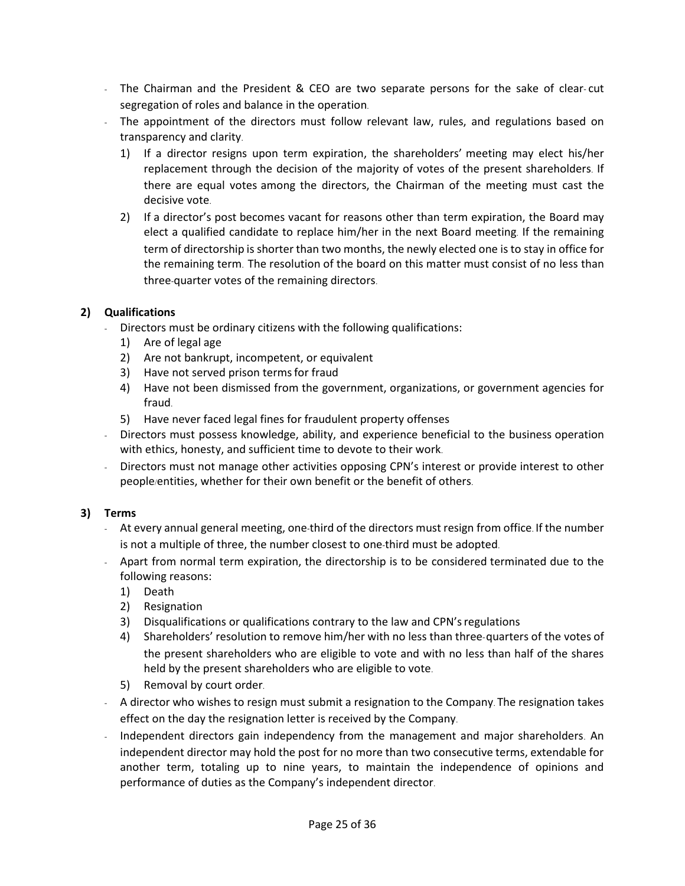- The Chairman and the President & CEO are two separate persons for the sake of clear- cut segregation of roles and balance in the operation.
- The appointment of the directors must follow relevant law, rules, and regulations based on transparency and clarity.
	- 1) If a director resigns upon term expiration, the shareholders' meeting may elect his/her replacement through the decision of the majority of votes of the present shareholders. If there are equal votes among the directors, the Chairman of the meeting must cast the decisive vote.
	- 2) If a director's post becomes vacant for reasons other than term expiration, the Board may elect a qualified candidate to replace him/her in the next Board meeting. If the remaining term of directorship is shorter than two months, the newly elected one is to stay in office for the remaining term. The resolution of the board on this matter must consist of no less than three-quarter votes of the remaining directors.

### **2) Qualifications**

- Directors must be ordinary citizens with the following qualifications:
	- 1) Are of legal age
	- 2) Are not bankrupt, incompetent, or equivalent
	- 3) Have not served prison termsfor fraud
	- 4) Have not been dismissed from the government, organizations, or government agencies for fraud.
	- 5) Have never faced legal fines for fraudulent property offenses
- Directors must possess knowledge, ability, and experience beneficial to the business operation with ethics, honesty, and sufficient time to devote to their work.
- Directors must not manage other activities opposing CPN's interest or provide interest to other people/entities, whether for their own benefit or the benefit of others.

# **3) Terms**

- At every annual general meeting, one-third of the directors must resign from office. If the number is not a multiple of three, the number closest to one-third must be adopted.
- Apart from normal term expiration, the directorship is to be considered terminated due to the following reasons:
	- 1) Death
	- 2) Resignation
	- 3) Disqualifications or qualifications contrary to the law and CPN'sregulations
	- 4) Shareholders' resolution to remove him/her with no less than three-quarters of the votes of the present shareholders who are eligible to vote and with no less than half of the shares held by the present shareholders who are eligible to vote.
	- 5) Removal by court order.
- A director who wishes to resign must submit a resignation to the Company. The resignation takes effect on the day the resignation letter is received by the Company.
- Independent directors gain independency from the management and major shareholders. An independent director may hold the post for no more than two consecutive terms, extendable for another term, totaling up to nine years, to maintain the independence of opinions and performance of duties as the Company's independent director.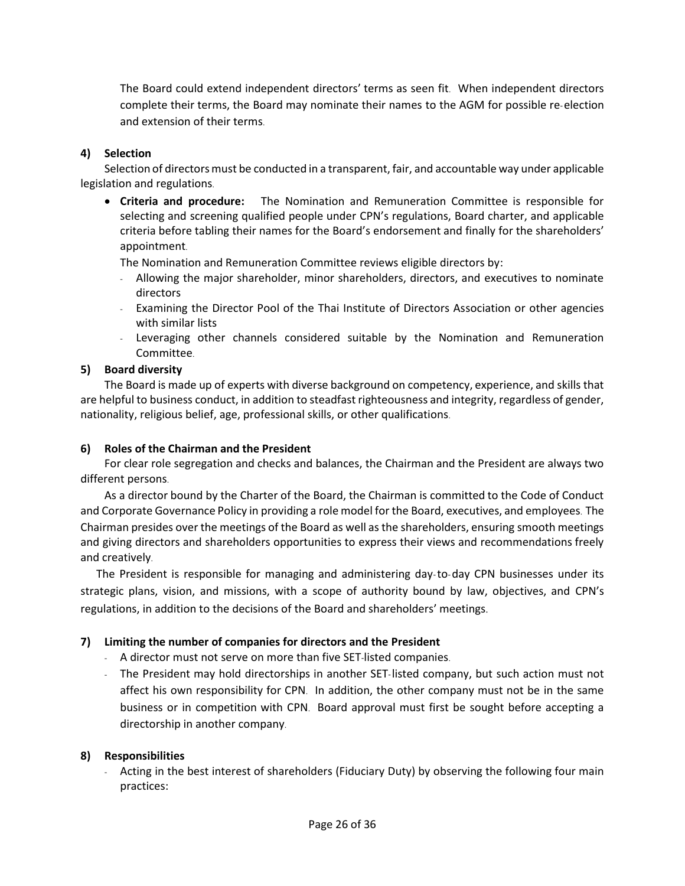The Board could extend independent directors' terms as seen fit. When independent directors complete their terms, the Board may nominate their names to the AGM for possible re-election and extension of their terms.

### **4) Selection**

Selection of directors must be conducted in a transparent, fair, and accountable way under applicable legislation and regulations.

• **Criteria and procedure:** The Nomination and Remuneration Committee is responsible for selecting and screening qualified people under CPN's regulations, Board charter, and applicable criteria before tabling their names for the Board's endorsement and finally for the shareholders' appointment.

The Nomination and Remuneration Committee reviews eligible directors by:

- Allowing the major shareholder, minor shareholders, directors, and executives to nominate directors
- Examining the Director Pool of the Thai Institute of Directors Association or other agencies with similar lists
- Leveraging other channels considered suitable by the Nomination and Remuneration Committee.

#### **5) Board diversity**

The Board is made up of experts with diverse background on competency, experience, and skills that are helpful to business conduct, in addition to steadfast righteousness and integrity, regardless of gender, nationality, religious belief, age, professional skills, or other qualifications.

### **6) Roles of the Chairman and the President**

For clear role segregation and checks and balances, the Chairman and the President are always two different persons.

As a director bound by the Charter of the Board, the Chairman is committed to the Code of Conduct and Corporate Governance Policy in providing a role model for the Board, executives, and employees. The Chairman presides over the meetings of the Board as well as the shareholders, ensuring smooth meetings and giving directors and shareholders opportunities to express their views and recommendations freely and creatively.

The President is responsible for managing and administering day-to-day CPN businesses under its strategic plans, vision, and missions, with a scope of authority bound by law, objectives, and CPN's regulations, in addition to the decisions of the Board and shareholders' meetings.

### **7) Limiting the number of companies for directors and the President**

- A director must not serve on more than five SET-listed companies.
- The President may hold directorships in another SET-listed company, but such action must not affect his own responsibility for CPN. In addition, the other company must not be in the same business or in competition with CPN. Board approval must first be sought before accepting a directorship in another company.

### **8) Responsibilities**

- Acting in the best interest of shareholders (Fiduciary Duty) by observing the following four main practices: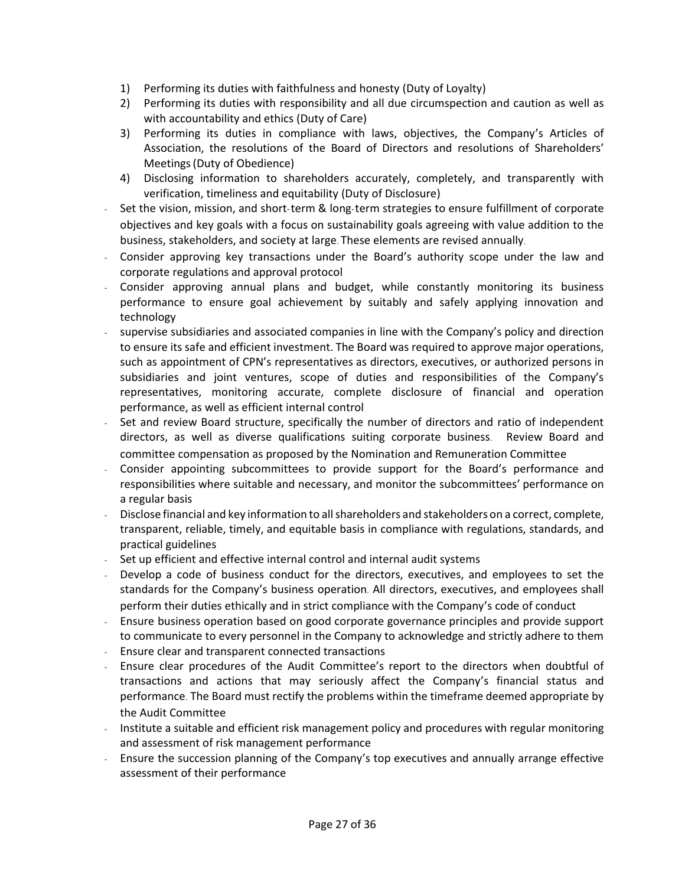- 1) Performing its duties with faithfulness and honesty (Duty of Loyalty)
- 2) Performing its duties with responsibility and all due circumspection and caution as well as with accountability and ethics (Duty of Care)
- 3) Performing its duties in compliance with laws, objectives, the Company's Articles of Association, the resolutions of the Board of Directors and resolutions of Shareholders' Meetings(Duty of Obedience)
- 4) Disclosing information to shareholders accurately, completely, and transparently with verification, timeliness and equitability (Duty of Disclosure)
- Set the vision, mission, and short-term & long-term strategies to ensure fulfillment of corporate objectives and key goals with a focus on sustainability goals agreeing with value addition to the business, stakeholders, and society at large. These elements are revised annually.
- Consider approving key transactions under the Board's authority scope under the law and corporate regulations and approval protocol
- Consider approving annual plans and budget, while constantly monitoring its business performance to ensure goal achievement by suitably and safely applying innovation and technology
- supervise subsidiaries and associated companies in line with the Company's policy and direction to ensure its safe and efficient investment. The Board was required to approve major operations, such as appointment of CPN's representatives as directors, executives, or authorized persons in subsidiaries and joint ventures, scope of duties and responsibilities of the Company's representatives, monitoring accurate, complete disclosure of financial and operation performance, as well as efficient internal control
- Set and review Board structure, specifically the number of directors and ratio of independent directors, as well as diverse qualifications suiting corporate business. Review Board and committee compensation as proposed by the Nomination and Remuneration Committee
- Consider appointing subcommittees to provide support for the Board's performance and responsibilities where suitable and necessary, and monitor the subcommittees' performance on a regular basis
- Disclose financial and key information to all shareholders and stakeholders on a correct, complete, transparent, reliable, timely, and equitable basis in compliance with regulations, standards, and practical guidelines
- Set up efficient and effective internal control and internal audit systems
- Develop a code of business conduct for the directors, executives, and employees to set the standards for the Company's business operation. All directors, executives, and employees shall perform their duties ethically and in strict compliance with the Company's code of conduct
- Ensure business operation based on good corporate governance principles and provide support to communicate to every personnel in the Company to acknowledge and strictly adhere to them
- Ensure clear and transparent connected transactions
- Ensure clear procedures of the Audit Committee's report to the directors when doubtful of transactions and actions that may seriously affect the Company's financial status and performance. The Board must rectify the problems within the timeframe deemed appropriate by the Audit Committee
- Institute a suitable and efficient risk management policy and procedures with regular monitoring and assessment of risk management performance
- Ensure the succession planning of the Company's top executives and annually arrange effective assessment of their performance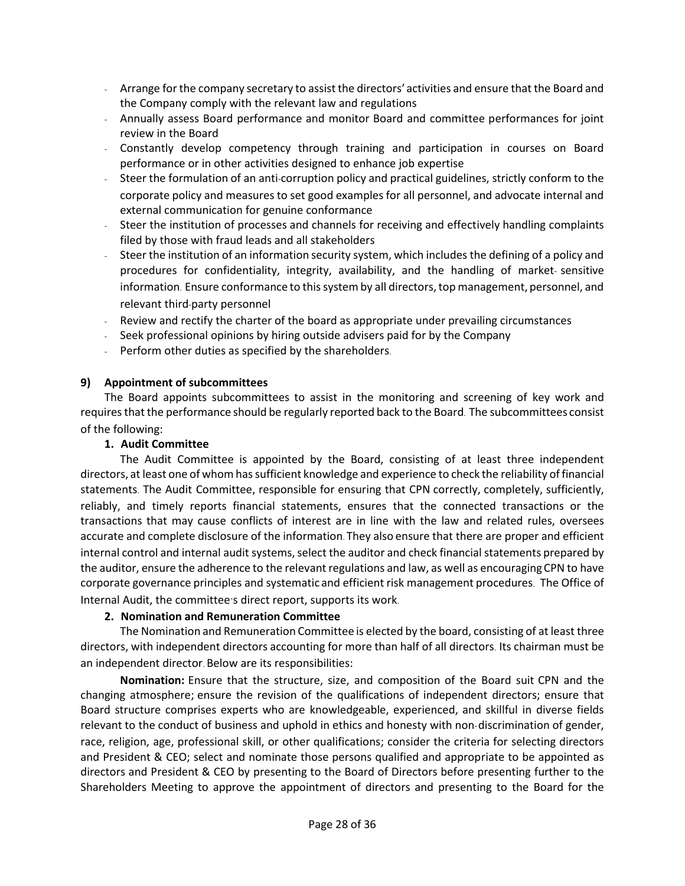- Arrange for the company secretary to assist the directors'activities and ensure that the Board and the Company comply with the relevant law and regulations
- Annually assess Board performance and monitor Board and committee performances for joint review in the Board
- Constantly develop competency through training and participation in courses on Board performance or in other activities designed to enhance job expertise
- Steer the formulation of an anti-corruption policy and practical guidelines, strictly conform to the corporate policy and measures to set good examples for all personnel, and advocate internal and external communication for genuine conformance
- Steer the institution of processes and channels for receiving and effectively handling complaints filed by those with fraud leads and all stakeholders
- Steer the institution of an information security system, which includes the defining of a policy and procedures for confidentiality, integrity, availability, and the handling of market- sensitive information. Ensure conformance to this system by all directors, top management, personnel, and relevant third-party personnel
- Review and rectify the charter of the board as appropriate under prevailing circumstances
- Seek professional opinions by hiring outside advisers paid for by the Company
- Perform other duties as specified by the shareholders.

### **9) Appointment of subcommittees**

The Board appoints subcommittees to assist in the monitoring and screening of key work and requiresthat the performance should be regularly reported back to the Board. The subcommittees consist of the following:

#### **1. Audit Committee**

The Audit Committee is appointed by the Board, consisting of at least three independent directors, at least one of whom has sufficient knowledge and experience to check the reliability of financial statements. The Audit Committee, responsible for ensuring that CPN correctly, completely, sufficiently, reliably, and timely reports financial statements, ensures that the connected transactions or the transactions that may cause conflicts of interest are in line with the law and related rules, oversees accurate and complete disclosure of the information. They also ensure that there are proper and efficient internal control and internal audit systems, select the auditor and check financial statements prepared by the auditor, ensure the adherence to the relevant regulations and law, as well as encouragingCPN to have corporate governance principles and systematic and efficient risk management procedures. The Office of Internal Audit, the committee's direct report, supports its work.

### **2. Nomination and Remuneration Committee**

The Nomination and Remuneration Committee is elected by the board, consisting of at least three directors, with independent directors accounting for more than half of all directors. Its chairman must be an independent director. Below are its responsibilities:

**Nomination:** Ensure that the structure, size, and composition of the Board suit CPN and the changing atmosphere; ensure the revision of the qualifications of independent directors; ensure that Board structure comprises experts who are knowledgeable, experienced, and skillful in diverse fields relevant to the conduct of business and uphold in ethics and honesty with non-discrimination of gender, race, religion, age, professional skill, or other qualifications; consider the criteria for selecting directors and President & CEO; select and nominate those persons qualified and appropriate to be appointed as directors and President & CEO by presenting to the Board of Directors before presenting further to the Shareholders Meeting to approve the appointment of directors and presenting to the Board for the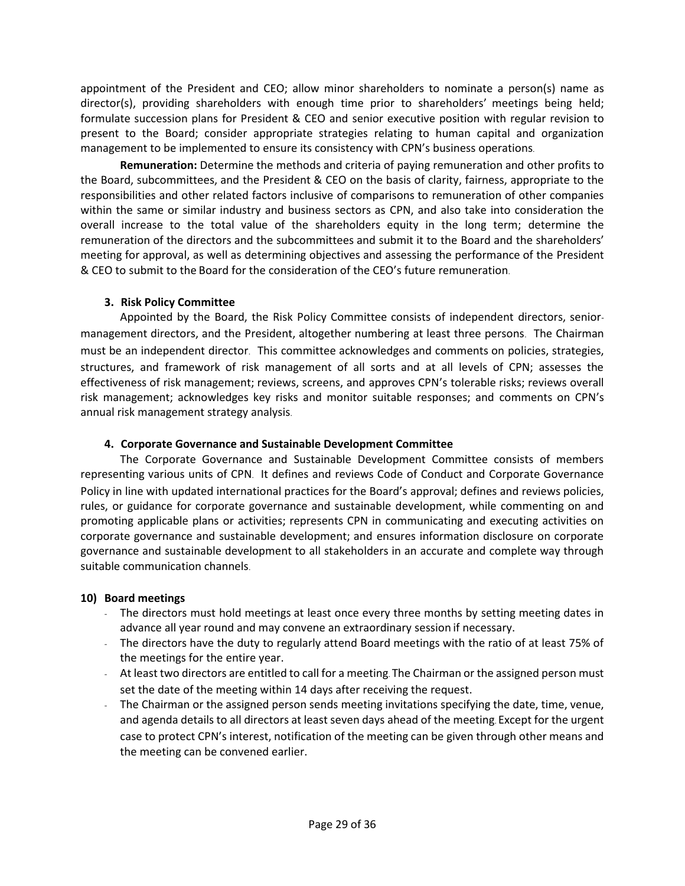appointment of the President and CEO; allow minor shareholders to nominate a person(s) name as director(s), providing shareholders with enough time prior to shareholders' meetings being held; formulate succession plans for President & CEO and senior executive position with regular revision to present to the Board; consider appropriate strategies relating to human capital and organization management to be implemented to ensure its consistency with CPN's business operations.

**Remuneration:** Determine the methods and criteria of paying remuneration and other profits to the Board, subcommittees, and the President & CEO on the basis of clarity, fairness, appropriate to the responsibilities and other related factors inclusive of comparisons to remuneration of other companies within the same or similar industry and business sectors as CPN, and also take into consideration the overall increase to the total value of the shareholders equity in the long term; determine the remuneration of the directors and the subcommittees and submit it to the Board and the shareholders' meeting for approval, as well as determining objectives and assessing the performance of the President & CEO to submit to the Board for the consideration of the CEO's future remuneration.

### **3. Risk Policy Committee**

Appointed by the Board, the Risk Policy Committee consists of independent directors, seniormanagement directors, and the President, altogether numbering at least three persons. The Chairman must be an independent director. This committee acknowledges and comments on policies, strategies, structures, and framework of risk management of all sorts and at all levels of CPN; assesses the effectiveness of risk management; reviews, screens, and approves CPN's tolerable risks; reviews overall risk management; acknowledges key risks and monitor suitable responses; and comments on CPN's annual risk management strategy analysis.

#### **4. Corporate Governance and Sustainable Development Committee**

The Corporate Governance and Sustainable Development Committee consists of members representing various units of CPN. It defines and reviews Code of Conduct and Corporate Governance Policy in line with updated international practices for the Board's approval; defines and reviews policies, rules, or guidance for corporate governance and sustainable development, while commenting on and promoting applicable plans or activities; represents CPN in communicating and executing activities on corporate governance and sustainable development; and ensures information disclosure on corporate governance and sustainable development to all stakeholders in an accurate and complete way through suitable communication channels.

### **10) Board meetings**

- The directors must hold meetings at least once every three months by setting meeting dates in advance all year round and may convene an extraordinary session if necessary.
- The directors have the duty to regularly attend Board meetings with the ratio of at least 75% of the meetings for the entire year.
- At least two directors are entitled to call for a meeting. The Chairman or the assigned person must set the date of the meeting within 14 days after receiving the request.
- The Chairman or the assigned person sends meeting invitations specifying the date, time, venue, and agenda details to all directors at least seven days ahead of the meeting. Except for the urgent case to protect CPN's interest, notification of the meeting can be given through other means and the meeting can be convened earlier.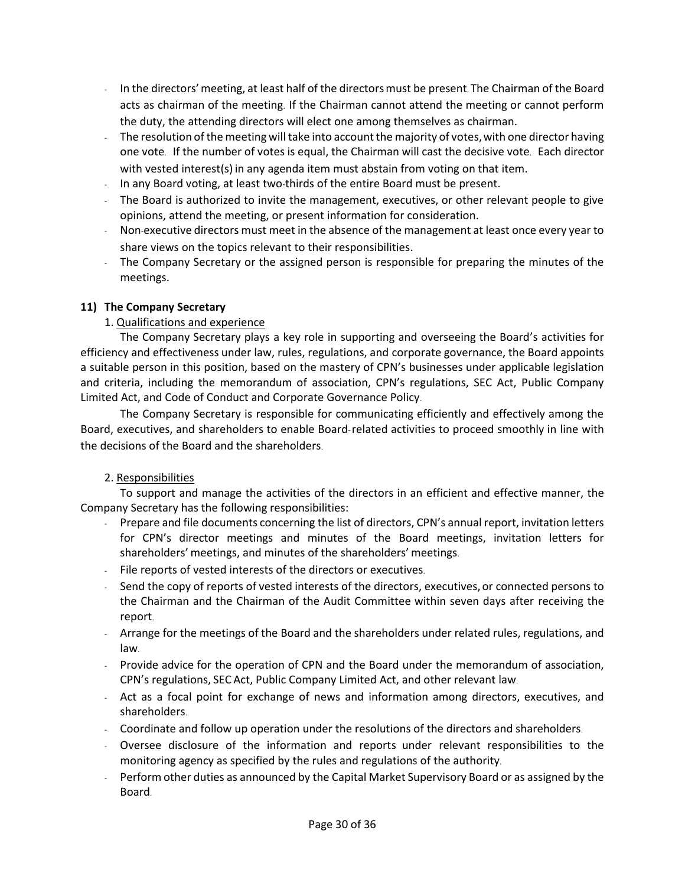- In the directors'meeting, at least half of the directorsmust be present. The Chairman of the Board acts as chairman of the meeting. If the Chairman cannot attend the meeting or cannot perform the duty, the attending directors will elect one among themselves as chairman.
- The resolution of the meeting will take into account the majority of votes, with one director having one vote. If the number of votes is equal, the Chairman will cast the decisive vote. Each director with vested interest(s) in any agenda item must abstain from voting on that item.
- In any Board voting, at least two-thirds of the entire Board must be present.
- The Board is authorized to invite the management, executives, or other relevant people to give opinions, attend the meeting, or present information for consideration.
- Non-executive directors must meet in the absence of the management at least once every year to share views on the topics relevant to their responsibilities.
- The Company Secretary or the assigned person is responsible for preparing the minutes of the meetings.

# **11) The Company Secretary**

### 1. Qualifications and experience

The Company Secretary plays a key role in supporting and overseeing the Board's activities for efficiency and effectiveness under law, rules, regulations, and corporate governance, the Board appoints a suitable person in this position, based on the mastery of CPN's businesses under applicable legislation and criteria, including the memorandum of association, CPN's regulations, SEC Act, Public Company Limited Act, and Code of Conduct and Corporate Governance Policy.

The Company Secretary is responsible for communicating efficiently and effectively among the Board, executives, and shareholders to enable Board-related activities to proceed smoothly in line with the decisions of the Board and the shareholders.

### 2. Responsibilities

To support and manage the activities of the directors in an efficient and effective manner, the Company Secretary has the following responsibilities:

- Prepare and file documents concerning the list of directors, CPN's annual report, invitation letters for CPN's director meetings and minutes of the Board meetings, invitation letters for shareholders' meetings, and minutes of the shareholders' meetings.
- File reports of vested interests of the directors or executives.
- Send the copy of reports of vested interests of the directors, executives,or connected persons to the Chairman and the Chairman of the Audit Committee within seven days after receiving the report.
- Arrange for the meetings of the Board and the shareholders under related rules, regulations, and law.
- Provide advice for the operation of CPN and the Board under the memorandum of association, CPN's regulations, SEC Act, Public Company Limited Act, and other relevant law.
- Act as a focal point for exchange of news and information among directors, executives, and shareholders.
- Coordinate and follow up operation under the resolutions of the directors and shareholders.
- Oversee disclosure of the information and reports under relevant responsibilities to the monitoring agency as specified by the rules and regulations of the authority.
- Perform other duties as announced by the Capital Market Supervisory Board or as assigned by the Board.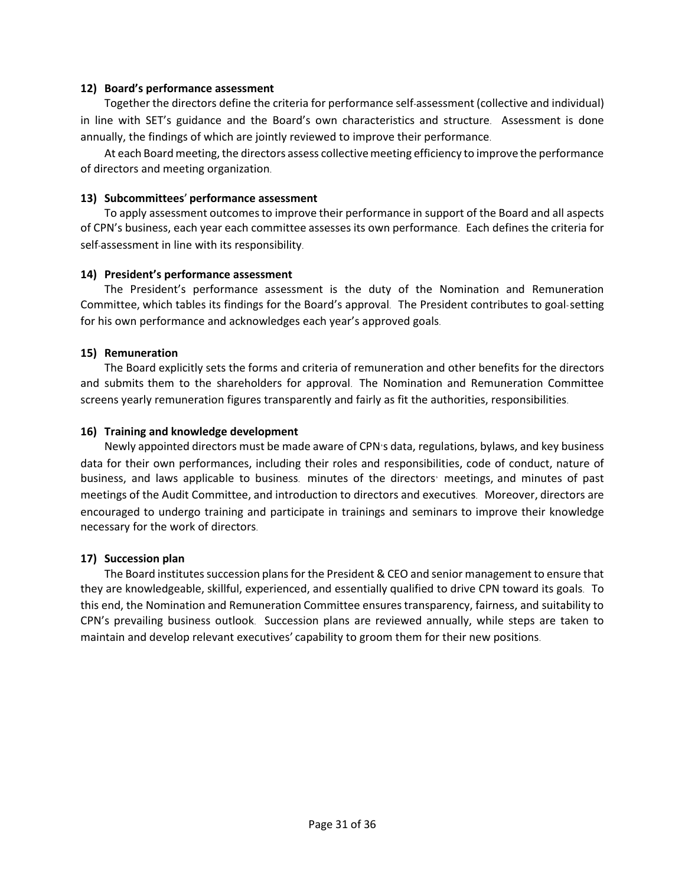#### **12) Board's performance assessment**

Together the directors define the criteria for performance self-assessment (collective and individual) in line with SET's guidance and the Board's own characteristics and structure. Assessment is done annually, the findings of which are jointly reviewed to improve their performance.

At each Board meeting, the directors assess collective meeting efficiency to improve the performance of directors and meeting organization.

#### **13) Subcommittees**' **performance assessment**

To apply assessment outcomes to improve their performance in support of the Board and all aspects of CPN's business, each year each committee assesses its own performance. Each defines the criteria for self-assessment in line with its responsibility.

#### **14) President's performance assessment**

The President's performance assessment is the duty of the Nomination and Remuneration Committee, which tables its findings for the Board's approval. The President contributes to goal-setting for his own performance and acknowledges each year's approved goals.

#### **15) Remuneration**

The Board explicitly sets the forms and criteria of remuneration and other benefits for the directors and submits them to the shareholders for approval. The Nomination and Remuneration Committee screens yearly remuneration figures transparently and fairly as fit the authorities, responsibilities.

#### **16) Training and knowledge development**

Newly appointed directors must be made aware of CPN's data, regulations, bylaws, and key business data for their own performances, including their roles and responsibilities, code of conduct, nature of business, and laws applicable to business. minutes of the directors' meetings, and minutes of past meetings of the Audit Committee, and introduction to directors and executives. Moreover, directors are encouraged to undergo training and participate in trainings and seminars to improve their knowledge necessary for the work of directors.

#### **17) Succession plan**

The Board institutes succession plans for the President & CEO and senior management to ensure that they are knowledgeable, skillful, experienced, and essentially qualified to drive CPN toward its goals. To this end, the Nomination and Remuneration Committee ensures transparency, fairness, and suitability to CPN's prevailing business outlook. Succession plans are reviewed annually, while steps are taken to maintain and develop relevant executives' capability to groom them for their new positions.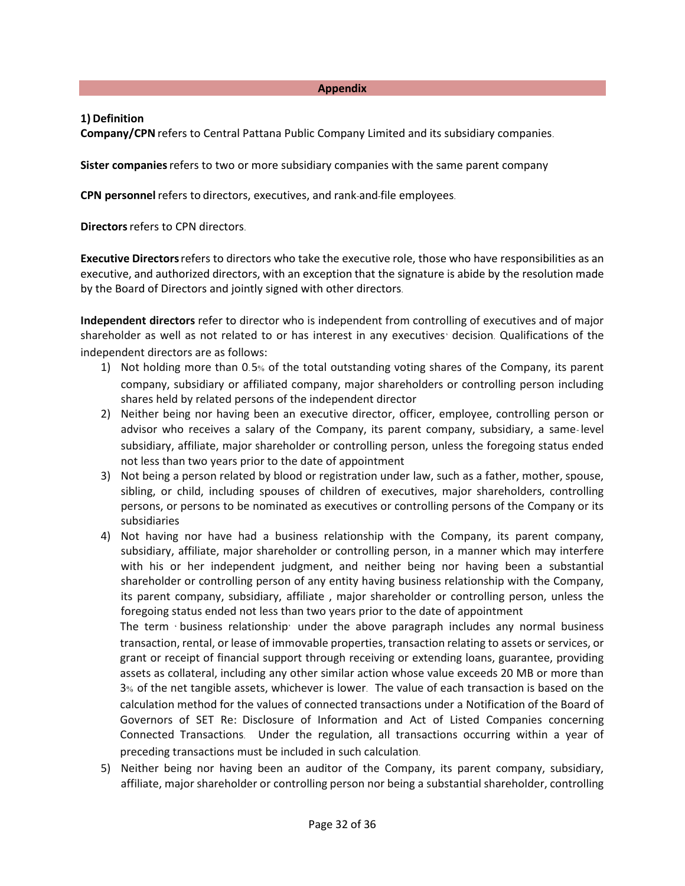**Appendix**

#### **1) Definition**

**Company/CPN** refers to Central Pattana Public Company Limited and its subsidiary companies.

**Sister companies**refers to two or more subsidiary companies with the same parent company

**CPN personnel**refers to directors, executives, and rank-and-file employees.

**Directors** refers to CPN directors.

**Executive Directors**refers to directors who take the executive role, those who have responsibilities as an executive, and authorized directors, with an exception that the signature is abide by the resolution made by the Board of Directors and jointly signed with other directors.

**Independent directors** refer to director who is independent from controlling of executives and of major shareholder as well as not related to or has interest in any executives' decision. Qualifications of the independent directors are as follows:

- 1) Not holding more than 0.5% of the total outstanding voting shares of the Company, its parent company, subsidiary or affiliated company, major shareholders or controlling person including shares held by related persons of the independent director
- 2) Neither being nor having been an executive director, officer, employee, controlling person or advisor who receives a salary of the Company, its parent company, subsidiary, a same- level subsidiary, affiliate, major shareholder or controlling person, unless the foregoing status ended not less than two years prior to the date of appointment
- 3) Not being a person related by blood or registration under law, such as a father, mother, spouse, sibling, or child, including spouses of children of executives, major shareholders, controlling persons, or persons to be nominated as executives or controlling persons of the Company or its subsidiaries
- 4) Not having nor have had a business relationship with the Company, its parent company, subsidiary, affiliate, major shareholder or controlling person, in a manner which may interfere with his or her independent judgment, and neither being nor having been a substantial shareholder or controlling person of any entity having business relationship with the Company, its parent company, subsidiary, affiliate , major shareholder or controlling person, unless the foregoing status ended not less than two years prior to the date of appointment

The term  $\cdot$  business relationship $\cdot$  under the above paragraph includes any normal business transaction, rental, or lease of immovable properties, transaction relating to assets or services, or grant or receipt of financial support through receiving or extending loans, guarantee, providing assets as collateral, including any other similar action whose value exceeds 20 MB or more than 3% of the net tangible assets, whichever is lower. The value of each transaction is based on the calculation method for the values of connected transactions under a Notification of the Board of Governors of SET Re: Disclosure of Information and Act of Listed Companies concerning Connected Transactions. Under the regulation, all transactions occurring within a year of preceding transactions must be included in such calculation.

5) Neither being nor having been an auditor of the Company, its parent company, subsidiary, affiliate, major shareholder or controlling person nor being a substantial shareholder, controlling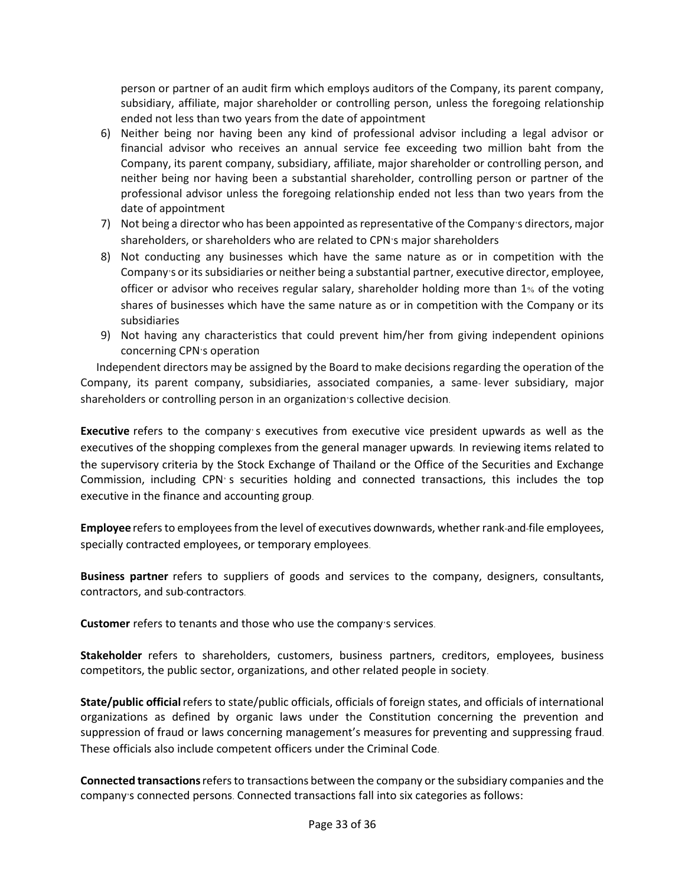person or partner of an audit firm which employs auditors of the Company, its parent company, subsidiary, affiliate, major shareholder or controlling person, unless the foregoing relationship ended not less than two years from the date of appointment

- 6) Neither being nor having been any kind of professional advisor including a legal advisor or financial advisor who receives an annual service fee exceeding two million baht from the Company, its parent company, subsidiary, affiliate, major shareholder or controlling person, and neither being nor having been a substantial shareholder, controlling person or partner of the professional advisor unless the foregoing relationship ended not less than two years from the date of appointment
- 7) Not being a director who has been appointed as representative of the Company's directors, major shareholders, or shareholders who are related to CPN's major shareholders
- 8) Not conducting any businesses which have the same nature as or in competition with the Company's or its subsidiaries or neither being a substantial partner, executive director, employee, officer or advisor who receives regular salary, shareholder holding more than 1% of the voting shares of businesses which have the same nature as or in competition with the Company or its subsidiaries
- 9) Not having any characteristics that could prevent him/her from giving independent opinions concerning CPN's operation

Independent directors may be assigned by the Board to make decisions regarding the operation of the Company, its parent company, subsidiaries, associated companies, a same- lever subsidiary, major shareholders or controlling person in an organization's collective decision.

**Executive** refers to the company's executives from executive vice president upwards as well as the executives of the shopping complexes from the general manager upwards. In reviewing items related to the supervisory criteria by the Stock Exchange of Thailand or the Office of the Securities and Exchange Commission, including CPN' s securities holding and connected transactions, this includes the top executive in the finance and accounting group.

**Employee** refers to employees from the level of executives downwards, whether rank-and-file employees, specially contracted employees, or temporary employees.

**Business partner** refers to suppliers of goods and services to the company, designers, consultants, contractors, and sub-contractors.

**Customer** refers to tenants and those who use the company's services.

**Stakeholder** refers to shareholders, customers, business partners, creditors, employees, business competitors, the public sector, organizations, and other related people in society.

**State/public official**refers to state/public officials, officials of foreign states, and officials of international organizations as defined by organic laws under the Constitution concerning the prevention and suppression of fraud or laws concerning management's measures for preventing and suppressing fraud. These officials also include competent officers under the Criminal Code.

**Connected transactions**refers to transactions between the company or the subsidiary companies and the company's connected persons. Connected transactions fall into six categories as follows: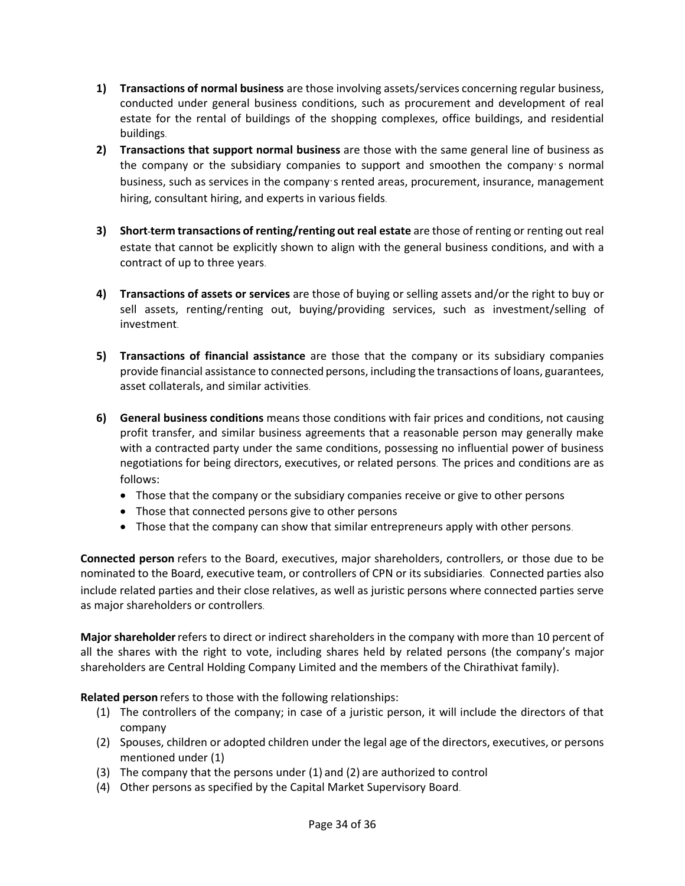- **1) Transactions of normal business** are those involving assets/services concerning regular business, conducted under general business conditions, such as procurement and development of real estate for the rental of buildings of the shopping complexes, office buildings, and residential buildings.
- **2) Transactions that support normal business** are those with the same general line of business as the company or the subsidiary companies to support and smoothen the company's normal business, such as services in the company's rented areas, procurement, insurance, management hiring, consultant hiring, and experts in various fields.
- **3) Short-term transactions of renting/renting out real estate** are those of renting or renting out real estate that cannot be explicitly shown to align with the general business conditions, and with a contract of up to three years.
- **4) Transactions of assets or services** are those of buying or selling assets and/or the right to buy or sell assets, renting/renting out, buying/providing services, such as investment/selling of investment.
- **5) Transactions of financial assistance** are those that the company or its subsidiary companies provide financial assistance to connected persons, including the transactions of loans, guarantees, asset collaterals, and similar activities.
- **6) General business conditions** means those conditions with fair prices and conditions, not causing profit transfer, and similar business agreements that a reasonable person may generally make with a contracted party under the same conditions, possessing no influential power of business negotiations for being directors, executives, or related persons. The prices and conditions are as follows:
	- Those that the company or the subsidiary companies receive or give to other persons
	- Those that connected persons give to other persons
	- Those that the company can show that similar entrepreneurs apply with other persons.

**Connected person** refers to the Board, executives, major shareholders, controllers, or those due to be nominated to the Board, executive team, or controllers of CPN or its subsidiaries. Connected parties also include related parties and their close relatives, as well as juristic persons where connected parties serve as major shareholders or controllers.

**Major shareholder**refers to direct or indirect shareholders in the company with more than 10 percent of all the shares with the right to vote, including shares held by related persons (the company's major shareholders are Central Holding Company Limited and the members of the Chirathivat family).

**Related person** refers to those with the following relationships:

- (1) The controllers of the company; in case of a juristic person, it will include the directors of that company
- (2) Spouses, children or adopted children under the legal age of the directors, executives, or persons mentioned under (1)
- (3) The company that the persons under (1) and (2) are authorized to control
- (4) Other persons as specified by the Capital Market Supervisory Board.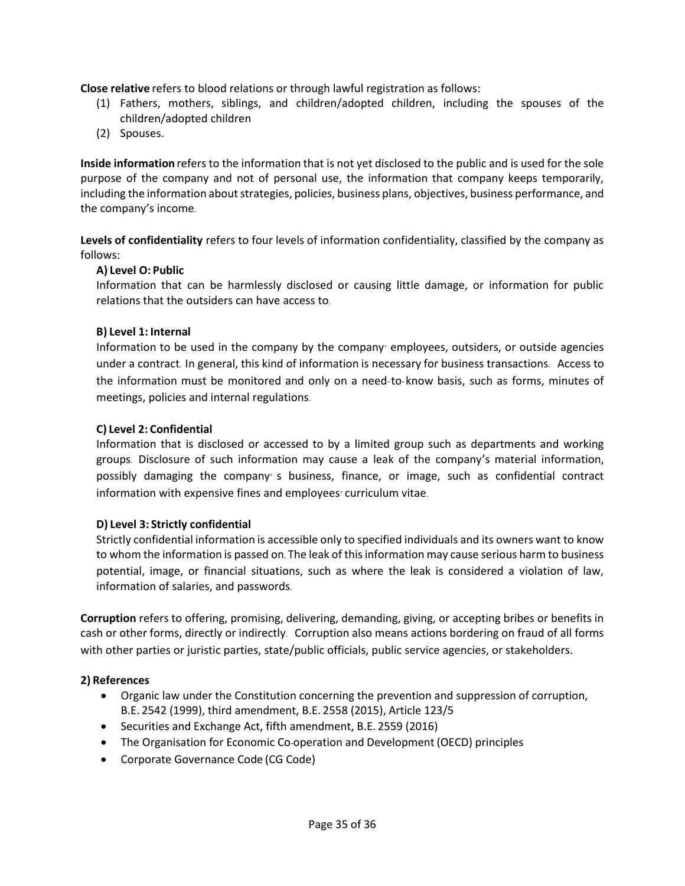**Close relative** refers to blood relations or through lawful registration as follows:

- (1) Fathers, mothers, siblings, and children/adopted children, including the spouses of the children/adopted children
- (2) Spouses.

**Inside information** refers to the information that is not yet disclosed to the public and is used for the sole purpose of the company and not of personal use, the information that company keeps temporarily, including the information about strategies, policies, business plans, objectives, business performance, and the company's income.

**Levels of confidentiality** refers to four levels of information confidentiality, classified by the company as follows:

#### **A) Level O: Public**

Information that can be harmlessly disclosed or causing little damage, or information for public relations that the outsiders can have access to.

#### **B) Level 1: Internal**

Information to be used in the company by the company' employees, outsiders, or outside agencies under a contract. In general, this kind of information is necessary for business transactions. Access to the information must be monitored and only on a need-to-know basis, such as forms, minutes of meetings, policies and internal regulations.

#### **C) Level 2: Confidential**

Information that is disclosed or accessed to by a limited group such as departments and working groups. Disclosure of such information may cause a leak of the company's material information, possibly damaging the company' s business, finance, or image, such as confidential contract information with expensive fines and employees' curriculum vitae.

#### **D) Level 3: Strictly confidential**

Strictly confidential information is accessible only to specified individuals and its owners want to know to whom the information is passed on. The leak of this information may cause serious harm to business potential, image, or financial situations, such as where the leak is considered a violation of law, information of salaries, and passwords.

**Corruption** refers to offering, promising, delivering, demanding, giving, or accepting bribes or benefits in cash or other forms, directly or indirectly. Corruption also means actions bordering on fraud of all forms with other parties or juristic parties, state/public officials, public service agencies, or stakeholders.

#### **2) References**

- Organic law under the Constitution concerning the prevention and suppression of corruption, B.E. 2542 (1999), third amendment, B.E. 2558 (2015), Article 123/5
- Securities and Exchange Act, fifth amendment, B.E. 2559 (2016)
- The Organisation for Economic Co-operation and Development (OECD) principles
- Corporate Governance Code (CG Code)